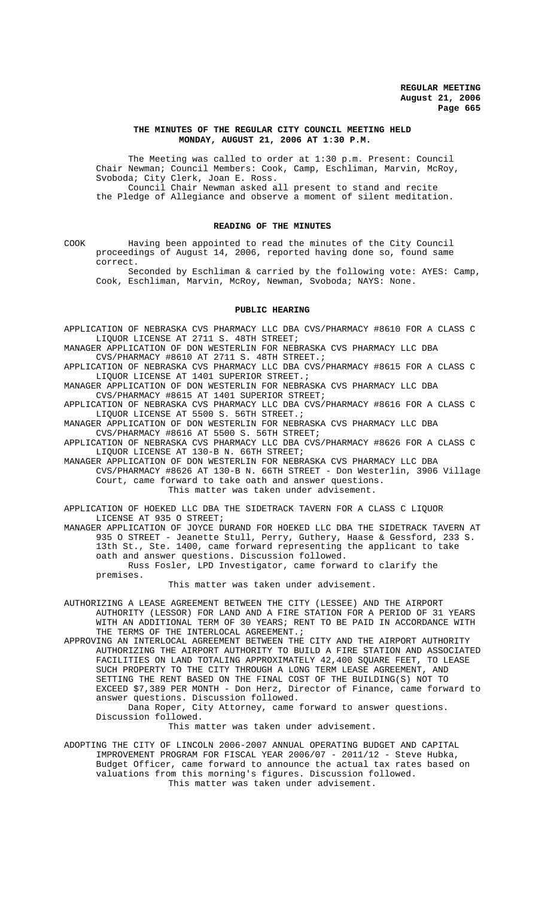#### **THE MINUTES OF THE REGULAR CITY COUNCIL MEETING HELD MONDAY, AUGUST 21, 2006 AT 1:30 P.M.**

The Meeting was called to order at 1:30 p.m. Present: Council Chair Newman; Council Members: Cook, Camp, Eschliman, Marvin, McRoy, Svoboda; City Clerk, Joan E. Ross. Council Chair Newman asked all present to stand and recite

the Pledge of Allegiance and observe a moment of silent meditation.

### **READING OF THE MINUTES**

COOK Having been appointed to read the minutes of the City Council proceedings of August 14, 2006, reported having done so, found same correct.

Seconded by Eschliman & carried by the following vote: AYES: Camp, Cook, Eschliman, Marvin, McRoy, Newman, Svoboda; NAYS: None.

#### **PUBLIC HEARING**

APPLICATION OF NEBRASKA CVS PHARMACY LLC DBA CVS/PHARMACY #8610 FOR A CLASS C LIQUOR LICENSE AT 2711 S. 48TH STREET;

MANAGER APPLICATION OF DON WESTERLIN FOR NEBRASKA CVS PHARMACY LLC DBA CVS/PHARMACY #8610 AT 2711 S. 48TH STREET :

APPLICATION OF NEBRASKA CVS PHARMACY LLC DBA CVS/PHARMACY #8615 FOR A CLASS C LIQUOR LICENSE AT 1401 SUPERIOR STREET.;

MANAGER APPLICATION OF DON WESTERLIN FOR NEBRASKA CVS PHARMACY LLC DBA CVS/PHARMACY #8615 AT 1401 SUPERIOR STREET;

APPLICATION OF NEBRASKA CVS PHARMACY LLC DBA CVS/PHARMACY #8616 FOR A CLASS C LIQUOR LICENSE AT 5500 S. 56TH STREET.;

MANAGER APPLICATION OF DON WESTERLIN FOR NEBRASKA CVS PHARMACY LLC DBA CVS/PHARMACY #8616 AT 5500 S. 56TH STREET;

APPLICATION OF NEBRASKA CVS PHARMACY LLC DBA CVS/PHARMACY #8626 FOR A CLASS C LIQUOR LICENSE AT 130-B N. 66TH STREET;

MANAGER APPLICATION OF DON WESTERLIN FOR NEBRASKA CVS PHARMACY LLC DBA CVS/PHARMACY #8626 AT 130-B N. 66TH STREET - Don Westerlin, 3906 Village Court, came forward to take oath and answer questions. This matter was taken under advisement.

APPLICATION OF HOEKED LLC DBA THE SIDETRACK TAVERN FOR A CLASS C LIQUOR LICENSE AT 935 O STREET;

MANAGER APPLICATION OF JOYCE DURAND FOR HOEKED LLC DBA THE SIDETRACK TAVERN AT 935 O STREET - Jeanette Stull, Perry, Guthery, Haase & Gessford, 233 S. 13th St., Ste. 1400, came forward representing the applicant to take oath and answer questions. Discussion followed. Russ Fosler, LPD Investigator, came forward to clarify the

premises.

This matter was taken under advisement.

AUTHORIZING A LEASE AGREEMENT BETWEEN THE CITY (LESSEE) AND THE AIRPORT AUTHORITY (LESSOR) FOR LAND AND A FIRE STATION FOR A PERIOD OF 31 YEARS WITH AN ADDITIONAL TERM OF 30 YEARS; RENT TO BE PAID IN ACCORDANCE WITH THE TERMS OF THE INTERLOCAL AGREEMENT. ;

APPROVING AN INTERLOCAL AGREEMENT BETWEEN THE CITY AND THE AIRPORT AUTHORITY AUTHORIZING THE AIRPORT AUTHORITY TO BUILD A FIRE STATION AND ASSOCIATED FACILITIES ON LAND TOTALING APPROXIMATELY 42,400 SQUARE FEET, TO LEASE SUCH PROPERTY TO THE CITY THROUGH A LONG TERM LEASE AGREEMENT, AND SETTING THE RENT BASED ON THE FINAL COST OF THE BUILDING(S) NOT TO EXCEED \$7,389 PER MONTH - Don Herz, Director of Finance, came forward to answer questions. Discussion followed.

Dana Roper, City Attorney, came forward to answer questions. Discussion followed.

This matter was taken under advisement.

ADOPTING THE CITY OF LINCOLN 2006-2007 ANNUAL OPERATING BUDGET AND CAPITAL IMPROVEMENT PROGRAM FOR FISCAL YEAR 2006/07 - 2011/12 - Steve Hubka, Budget Officer, came forward to announce the actual tax rates based on valuations from this morning's figures. Discussion followed. This matter was taken under advisement.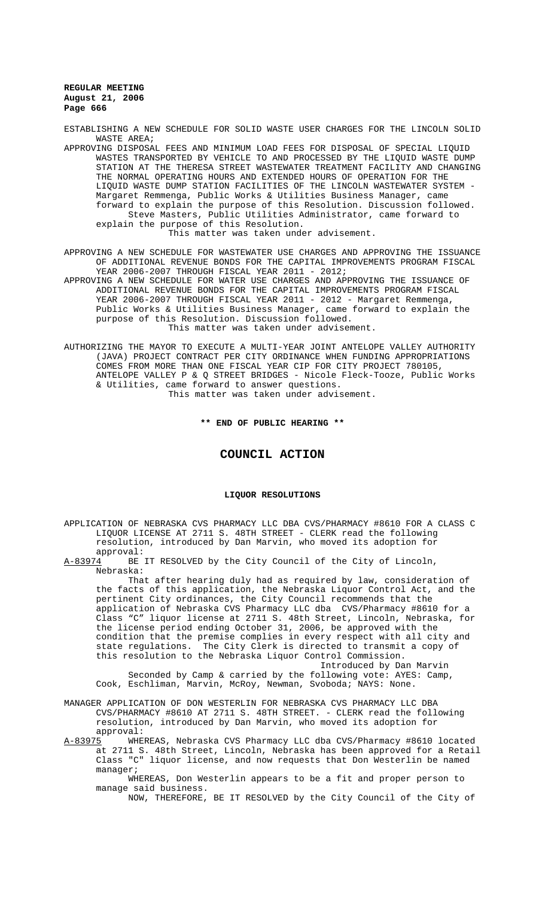ESTABLISHING A NEW SCHEDULE FOR SOLID WASTE USER CHARGES FOR THE LINCOLN SOLID WASTE AREA;

APPROVING DISPOSAL FEES AND MINIMUM LOAD FEES FOR DISPOSAL OF SPECIAL LIQUID WASTES TRANSPORTED BY VEHICLE TO AND PROCESSED BY THE LIQUID WASTE DUMP STATION AT THE THERESA STREET WASTEWATER TREATMENT FACILITY AND CHANGING THE NORMAL OPERATING HOURS AND EXTENDED HOURS OF OPERATION FOR THE LIQUID WASTE DUMP STATION FACILITIES OF THE LINCOLN WASTEWATER SYSTEM - Margaret Remmenga, Public Works & Utilities Business Manager, came forward to explain the purpose of this Resolution. Discussion followed. Steve Masters, Public Utilities Administrator, came forward to explain the purpose of this Resolution.

This matter was taken under advisement.

APPROVING A NEW SCHEDULE FOR WASTEWATER USE CHARGES AND APPROVING THE ISSUANCE OF ADDITIONAL REVENUE BONDS FOR THE CAPITAL IMPROVEMENTS PROGRAM FISCAL YEAR 2006-2007 THROUGH FISCAL YEAR 2011 - 2012;

APPROVING A NEW SCHEDULE FOR WATER USE CHARGES AND APPROVING THE ISSUANCE OF ADDITIONAL REVENUE BONDS FOR THE CAPITAL IMPROVEMENTS PROGRAM FISCAL YEAR 2006-2007 THROUGH FISCAL YEAR 2011 - 2012 - Margaret Remmenga, Public Works & Utilities Business Manager, came forward to explain the purpose of this Resolution. Discussion followed. This matter was taken under advisement.

AUTHORIZING THE MAYOR TO EXECUTE A MULTI-YEAR JOINT ANTELOPE VALLEY AUTHORITY (JAVA) PROJECT CONTRACT PER CITY ORDINANCE WHEN FUNDING APPROPRIATIONS COMES FROM MORE THAN ONE FISCAL YEAR CIP FOR CITY PROJECT 780105, ANTELOPE VALLEY P & Q STREET BRIDGES - Nicole Fleck-Tooze, Public Works & Utilities, came forward to answer questions.

This matter was taken under advisement.

#### **\*\* END OF PUBLIC HEARING \*\***

## **COUNCIL ACTION**

### **LIQUOR RESOLUTIONS**

APPLICATION OF NEBRASKA CVS PHARMACY LLC DBA CVS/PHARMACY #8610 FOR A CLASS C LIQUOR LICENSE AT 2711 S. 48TH STREET - CLERK read the following resolution, introduced by Dan Marvin, who moved its adoption for

approval:<br>A-83974 BE BE IT RESOLVED by the City Council of the City of Lincoln, Nebraska:

That after hearing duly had as required by law, consideration of the facts of this application, the Nebraska Liquor Control Act, and the pertinent City ordinances, the City Council recommends that the application of Nebraska CVS Pharmacy LLC dba CVS/Pharmacy #8610 for a Class "C" liquor license at 2711 S. 48th Street, Lincoln, Nebraska, for the license period ending October 31, 2006, be approved with the condition that the premise complies in every respect with all city and<br>state regulations. The City Clerk is directed to transmit a copy of The City Clerk is directed to transmit a copy of this resolution to the Nebraska Liquor Control Commission.

Introduced by Dan Marvin

Seconded by Camp & carried by the following vote: AYES: Camp, Cook, Eschliman, Marvin, McRoy, Newman, Svoboda; NAYS: None.

MANAGER APPLICATION OF DON WESTERLIN FOR NEBRASKA CVS PHARMACY LLC DBA CVS/PHARMACY #8610 AT 2711 S. 48TH STREET. - CLERK read the following resolution, introduced by Dan Marvin, who moved its adoption for

approval:<br><u>A-83975</u> WHE WHEREAS, Nebraska CVS Pharmacy LLC dba CVS/Pharmacy #8610 located at 2711 S. 48th Street, Lincoln, Nebraska has been approved for a Retail Class "C" liquor license, and now requests that Don Westerlin be named manager;

WHEREAS, Don Westerlin appears to be a fit and proper person to manage said business.

NOW, THEREFORE, BE IT RESOLVED by the City Council of the City of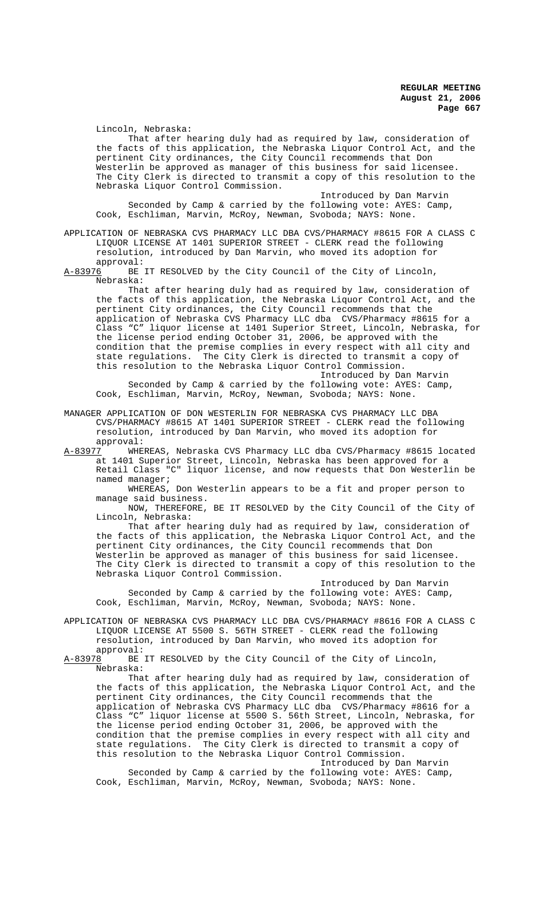Lincoln, Nebraska:

That after hearing duly had as required by law, consideration of the facts of this application, the Nebraska Liquor Control Act, and the pertinent City ordinances, the City Council recommends that Don Westerlin be approved as manager of this business for said licensee. The City Clerk is directed to transmit a copy of this resolution to the Nebraska Liquor Control Commission.

Introduced by Dan Marvin Seconded by Camp & carried by the following vote: AYES: Camp, Cook, Eschliman, Marvin, McRoy, Newman, Svoboda; NAYS: None.

APPLICATION OF NEBRASKA CVS PHARMACY LLC DBA CVS/PHARMACY #8615 FOR A CLASS C LIQUOR LICENSE AT 1401 SUPERIOR STREET - CLERK read the following resolution, introduced by Dan Marvin, who moved its adoption for

approval:<br>A-83976 BE BE IT RESOLVED by the City Council of the City of Lincoln, Nebraska:

That after hearing duly had as required by law, consideration of the facts of this application, the Nebraska Liquor Control Act, and the pertinent City ordinances, the City Council recommends that the application of Nebraska CVS Pharmacy LLC dba CVS/Pharmacy #8615 for a Class "C" liquor license at 1401 Superior Street, Lincoln, Nebraska, for the license period ending October 31, 2006, be approved with the condition that the premise complies in every respect with all city and state regulations. The City Clerk is directed to transmit a copy of this resolution to the Nebraska Liquor Control Commission.

Introduced by Dan Marvin Seconded by Camp & carried by the following vote: AYES: Camp, Cook, Eschliman, Marvin, McRoy, Newman, Svoboda; NAYS: None.

MANAGER APPLICATION OF DON WESTERLIN FOR NEBRASKA CVS PHARMACY LLC DBA CVS/PHARMACY #8615 AT 1401 SUPERIOR STREET - CLERK read the following resolution, introduced by Dan Marvin, who moved its adoption for

approval:<br><u>A-83977</u> WHEE WHEREAS, Nebraska CVS Pharmacy LLC dba CVS/Pharmacy #8615 located at 1401 Superior Street, Lincoln, Nebraska has been approved for a Retail Class "C" liquor license, and now requests that Don Westerlin be named manager;

WHEREAS, Don Westerlin appears to be a fit and proper person to manage said business.

NOW, THEREFORE, BE IT RESOLVED by the City Council of the City of Lincoln, Nebraska:

That after hearing duly had as required by law, consideration of the facts of this application, the Nebraska Liquor Control Act, and the pertinent City ordinances, the City Council recommends that Don Westerlin be approved as manager of this business for said licensee. The City Clerk is directed to transmit a copy of this resolution to the Nebraska Liquor Control Commission.

Introduced by Dan Marvin Seconded by Camp & carried by the following vote: AYES: Camp, Cook, Eschliman, Marvin, McRoy, Newman, Svoboda; NAYS: None.

APPLICATION OF NEBRASKA CVS PHARMACY LLC DBA CVS/PHARMACY #8616 FOR A CLASS C LIQUOR LICENSE AT 5500 S. 56TH STREET - CLERK read the following resolution, introduced by Dan Marvin, who moved its adoption for approval:<br>A-83978 BE

BE IT RESOLVED by the City Council of the City of Lincoln, Nebraska:

That after hearing duly had as required by law, consideration of the facts of this application, the Nebraska Liquor Control Act, and the pertinent City ordinances, the City Council recommends that the application of Nebraska CVS Pharmacy LLC dba CVS/Pharmacy #8616 for a Class "C" liquor license at 5500 S. 56th Street, Lincoln, Nebraska, for the license period ending October 31, 2006, be approved with the condition that the premise complies in every respect with all city and state regulations. The City Clerk is directed to transmit a copy of this resolution to the Nebraska Liquor Control Commission.

Introduced by Dan Marvin Seconded by Camp & carried by the following vote: AYES: Camp, Cook, Eschliman, Marvin, McRoy, Newman, Svoboda; NAYS: None.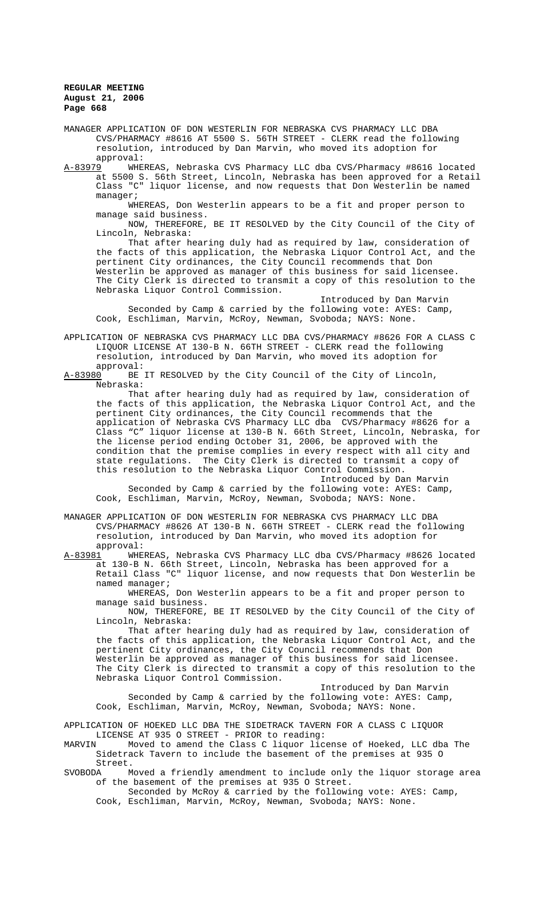MANAGER APPLICATION OF DON WESTERLIN FOR NEBRASKA CVS PHARMACY LLC DBA CVS/PHARMACY #8616 AT 5500 S. 56TH STREET - CLERK read the following resolution, introduced by Dan Marvin, who moved its adoption for

approval:<br><u>A-83979</u> WHEI WHEREAS, Nebraska CVS Pharmacy LLC dba CVS/Pharmacy #8616 located at 5500 S. 56th Street, Lincoln, Nebraska has been approved for a Retail Class "C" liquor license, and now requests that Don Westerlin be named manager;

WHEREAS, Don Westerlin appears to be a fit and proper person to manage said business.

NOW, THEREFORE, BE IT RESOLVED by the City Council of the City of Lincoln, Nebraska:

That after hearing duly had as required by law, consideration of the facts of this application, the Nebraska Liquor Control Act, and the pertinent City ordinances, the City Council recommends that Don Westerlin be approved as manager of this business for said licensee. The City Clerk is directed to transmit a copy of this resolution to the Nebraska Liquor Control Commission.

Introduced by Dan Marvin Seconded by Camp & carried by the following vote: AYES: Camp, Cook, Eschliman, Marvin, McRoy, Newman, Svoboda; NAYS: None.

APPLICATION OF NEBRASKA CVS PHARMACY LLC DBA CVS/PHARMACY #8626 FOR A CLASS C LIQUOR LICENSE AT 130-B N. 66TH STREET - CLERK read the following resolution, introduced by Dan Marvin, who moved its adoption for

approval:<br>A-83980 BE BE IT RESOLVED by the City Council of the City of Lincoln, Nebraska:

That after hearing duly had as required by law, consideration of the facts of this application, the Nebraska Liquor Control Act, and the pertinent City ordinances, the City Council recommends that the application of Nebraska CVS Pharmacy LLC dba CVS/Pharmacy #8626 for a Class "C" liquor license at 130-B N. 66th Street, Lincoln, Nebraska, for the license period ending October 31, 2006, be approved with the condition that the premise complies in every respect with all city and state regulations. The City Clerk is directed to transmit a copy of this resolution to the Nebraska Liquor Control Commission.

Introduced by Dan Marvin Seconded by Camp & carried by the following vote: AYES: Camp, Cook, Eschliman, Marvin, McRoy, Newman, Svoboda; NAYS: None.

MANAGER APPLICATION OF DON WESTERLIN FOR NEBRASKA CVS PHARMACY LLC DBA CVS/PHARMACY #8626 AT 130-B N. 66TH STREET - CLERK read the following resolution, introduced by Dan Marvin, who moved its adoption for approval:

A-83981 WHEREAS, Nebraska CVS Pharmacy LLC dba CVS/Pharmacy #8626 located at 130-B N. 66th Street, Lincoln, Nebraska has been approved for a Retail Class "C" liquor license, and now requests that Don Westerlin be named manager;

WHEREAS, Don Westerlin appears to be a fit and proper person to manage said business.

NOW, THEREFORE, BE IT RESOLVED by the City Council of the City of Lincoln, Nebraska:

That after hearing duly had as required by law, consideration of the facts of this application, the Nebraska Liquor Control Act, and the pertinent City ordinances, the City Council recommends that Don Westerlin be approved as manager of this business for said licensee. The City Clerk is directed to transmit a copy of this resolution to the Nebraska Liquor Control Commission.

Introduced by Dan Marvin Seconded by Camp & carried by the following vote: AYES: Camp, Cook, Eschliman, Marvin, McRoy, Newman, Svoboda; NAYS: None.

APPLICATION OF HOEKED LLC DBA THE SIDETRACK TAVERN FOR A CLASS C LIQUOR LICENSE AT 935 O STREET - PRIOR to reading:<br>MARVIN Moved to amend the Class C liquor lic

Moved to amend the Class C liquor license of Hoeked, LLC dba The Sidetrack Tavern to include the basement of the premises at 935 O Street.<br>SVOBODA M

SVOBODA Moved a friendly amendment to include only the liquor storage area of the basement of the premises at 935 O Street.

Seconded by McRoy & carried by the following vote: AYES: Camp, Cook, Eschliman, Marvin, McRoy, Newman, Svoboda; NAYS: None.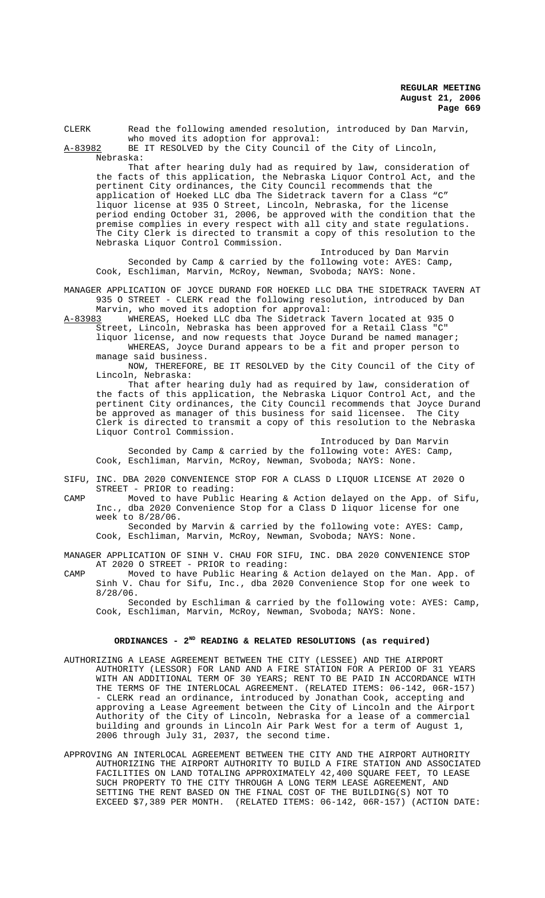| CLERK     | Read the following amended resolution, introduced by Dan Marvin, |
|-----------|------------------------------------------------------------------|
|           | who moved its adoption for approval:                             |
| A-83982   | BE IT RESOLVED by the City Council of the City of Lincoln,       |
| Nebraska: |                                                                  |

That after hearing duly had as required by law, consideration of the facts of this application, the Nebraska Liquor Control Act, and the pertinent City ordinances, the City Council recommends that the application of Hoeked LLC dba The Sidetrack tavern for a Class "C" liquor license at 935 O Street, Lincoln, Nebraska, for the license period ending October 31, 2006, be approved with the condition that the premise complies in every respect with all city and state regulations. The City Clerk is directed to transmit a copy of this resolution to the Nebraska Liquor Control Commission.

Introduced by Dan Marvin Seconded by Camp & carried by the following vote: AYES: Camp, Cook, Eschliman, Marvin, McRoy, Newman, Svoboda; NAYS: None.

MANAGER APPLICATION OF JOYCE DURAND FOR HOEKED LLC DBA THE SIDETRACK TAVERN AT 935 O STREET - CLERK read the following resolution, introduced by Dan Marvin, who moved its adoption for approval:

A-83983 WHEREAS, Hoeked LLC dba The Sidetrack Tavern located at 935 O Street, Lincoln, Nebraska has been approved for a Retail Class "C"

liquor license, and now requests that Joyce Durand be named manager; WHEREAS, Joyce Durand appears to be a fit and proper person to manage said business.

NOW, THEREFORE, BE IT RESOLVED by the City Council of the City of Lincoln, Nebraska:

That after hearing duly had as required by law, consideration of the facts of this application, the Nebraska Liquor Control Act, and the pertinent City ordinances, the City Council recommends that Joyce Durand be approved as manager of this business for said licensee. The City Clerk is directed to transmit a copy of this resolution to the Nebraska Liquor Control Commission.

Introduced by Dan Marvin Seconded by Camp & carried by the following vote: AYES: Camp, Cook, Eschliman, Marvin, McRoy, Newman, Svoboda; NAYS: None.

SIFU, INC. DBA 2020 CONVENIENCE STOP FOR A CLASS D LIQUOR LICENSE AT 2020 O STREET - PRIOR to reading:

CAMP Moved to have Public Hearing & Action delayed on the App. of Sifu, Inc., dba 2020 Convenience Stop for a Class D liquor license for one week to 8/28/06.

Seconded by Marvin & carried by the following vote: AYES: Camp, Cook, Eschliman, Marvin, McRoy, Newman, Svoboda; NAYS: None.

MANAGER APPLICATION OF SINH V. CHAU FOR SIFU, INC. DBA 2020 CONVENIENCE STOP AT 2020 O STREET - PRIOR to reading:

CAMP Moved to have Public Hearing & Action delayed on the Man. App. of Sinh V. Chau for Sifu, Inc., dba 2020 Convenience Stop for one week to 8/28/06.

Seconded by Eschliman & carried by the following vote: AYES: Camp, Cook, Eschliman, Marvin, McRoy, Newman, Svoboda; NAYS: None.

## ORDINANCES - 2<sup>ND</sup> READING & RELATED RESOLUTIONS (as required)

- AUTHORIZING A LEASE AGREEMENT BETWEEN THE CITY (LESSEE) AND THE AIRPORT AUTHORITY (LESSOR) FOR LAND AND A FIRE STATION FOR A PERIOD OF 31 YEARS WITH AN ADDITIONAL TERM OF 30 YEARS; RENT TO BE PAID IN ACCORDANCE WITH THE TERMS OF THE INTERLOCAL AGREEMENT. (RELATED ITEMS: 06-142, 06R-157) - CLERK read an ordinance, introduced by Jonathan Cook, accepting and approving a Lease Agreement between the City of Lincoln and the Airport Authority of the City of Lincoln, Nebraska for a lease of a commercial building and grounds in Lincoln Air Park West for a term of August 1, 2006 through July 31, 2037, the second time.
- APPROVING AN INTERLOCAL AGREEMENT BETWEEN THE CITY AND THE AIRPORT AUTHORITY AUTHORIZING THE AIRPORT AUTHORITY TO BUILD A FIRE STATION AND ASSOCIATED FACILITIES ON LAND TOTALING APPROXIMATELY 42,400 SQUARE FEET, TO LEASE SUCH PROPERTY TO THE CITY THROUGH A LONG TERM LEASE AGREEMENT, AND SETTING THE RENT BASED ON THE FINAL COST OF THE BUILDING(S) NOT TO EXCEED \$7,389 PER MONTH. (RELATED ITEMS: 06-142, 06R-157) (ACTION DATE: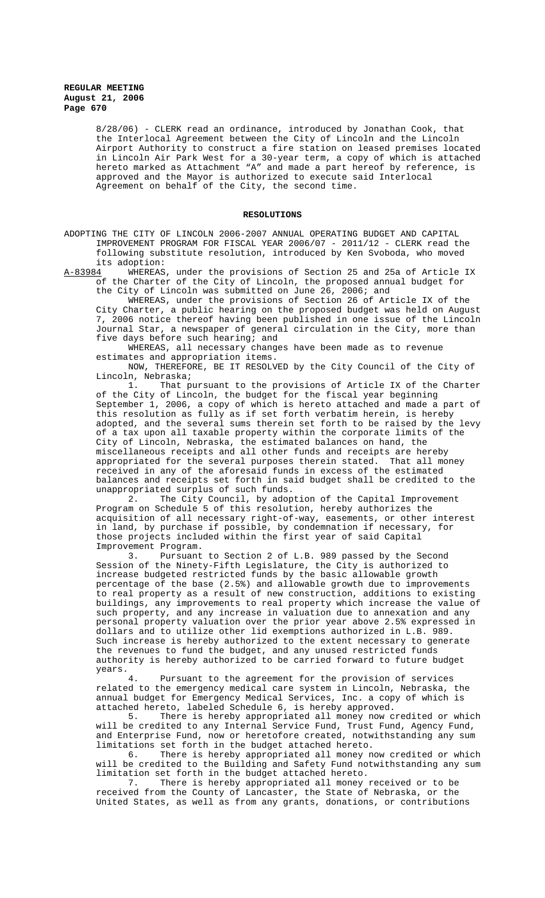8/28/06) - CLERK read an ordinance, introduced by Jonathan Cook, that the Interlocal Agreement between the City of Lincoln and the Lincoln Airport Authority to construct a fire station on leased premises located in Lincoln Air Park West for a 30-year term, a copy of which is attached hereto marked as Attachment "A" and made a part hereof by reference, is approved and the Mayor is authorized to execute said Interlocal Agreement on behalf of the City, the second time.

#### **RESOLUTIONS**

ADOPTING THE CITY OF LINCOLN 2006-2007 ANNUAL OPERATING BUDGET AND CAPITAL IMPROVEMENT PROGRAM FOR FISCAL YEAR 2006/07 - 2011/12 - CLERK read the following substitute resolution, introduced by Ken Svoboda, who moved its adoption:<br>A-83984 WHEREAS

WHEREAS, under the provisions of Section 25 and 25a of Article IX of the Charter of the City of Lincoln, the proposed annual budget for the City of Lincoln was submitted on June 26, 2006; and

WHEREAS, under the provisions of Section 26 of Article IX of the City Charter, a public hearing on the proposed budget was held on August 7, 2006 notice thereof having been published in one issue of the Lincoln Journal Star, a newspaper of general circulation in the City, more than five days before such hearing; and

WHEREAS, all necessary changes have been made as to revenue estimates and appropriation items.

NOW, THEREFORE, BE IT RESOLVED by the City Council of the City of Lincoln, Nebraska;

1. That pursuant to the provisions of Article IX of the Charter of the City of Lincoln, the budget for the fiscal year beginning September 1, 2006, a copy of which is hereto attached and made a part of this resolution as fully as if set forth verbatim herein, is hereby adopted, and the several sums therein set forth to be raised by the levy of a tax upon all taxable property within the corporate limits of the City of Lincoln, Nebraska, the estimated balances on hand, the miscellaneous receipts and all other funds and receipts are hereby appropriated for the several purposes therein stated. That all money received in any of the aforesaid funds in excess of the estimated balances and receipts set forth in said budget shall be credited to the unappropriated surplus of such funds.<br>2. The City Council, by adop

The City Council, by adoption of the Capital Improvement Program on Schedule 5 of this resolution, hereby authorizes the acquisition of all necessary right-of-way, easements, or other interest in land, by purchase if possible, by condemnation if necessary, for those projects included within the first year of said Capital Improvement Program.

3. Pursuant to Section 2 of L.B. 989 passed by the Second Session of the Ninety-Fifth Legislature, the City is authorized to increase budgeted restricted funds by the basic allowable growth percentage of the base (2.5%) and allowable growth due to improvements to real property as a result of new construction, additions to existing buildings, any improvements to real property which increase the value of such property, and any increase in valuation due to annexation and any personal property valuation over the prior year above 2.5% expressed in dollars and to utilize other lid exemptions authorized in L.B. 989. Such increase is hereby authorized to the extent necessary to generate the revenues to fund the budget, and any unused restricted funds authority is hereby authorized to be carried forward to future budget years.

Pursuant to the agreement for the provision of services related to the emergency medical care system in Lincoln, Nebraska, the annual budget for Emergency Medical Services, Inc. a copy of which is attached hereto, labeled Schedule 6, is hereby approved.<br>5. There is hereby appropriated all money now c

There is hereby appropriated all money now credited or which will be credited to any Internal Service Fund, Trust Fund, Agency Fund, and Enterprise Fund, now or heretofore created, notwithstanding any sum limitations set forth in the budget attached hereto.

6. There is hereby appropriated all money now credited or which will be credited to the Building and Safety Fund notwithstanding any sum limitation set forth in the budget attached hereto.

7. There is hereby appropriated all money received or to be received from the County of Lancaster, the State of Nebraska, or the United States, as well as from any grants, donations, or contributions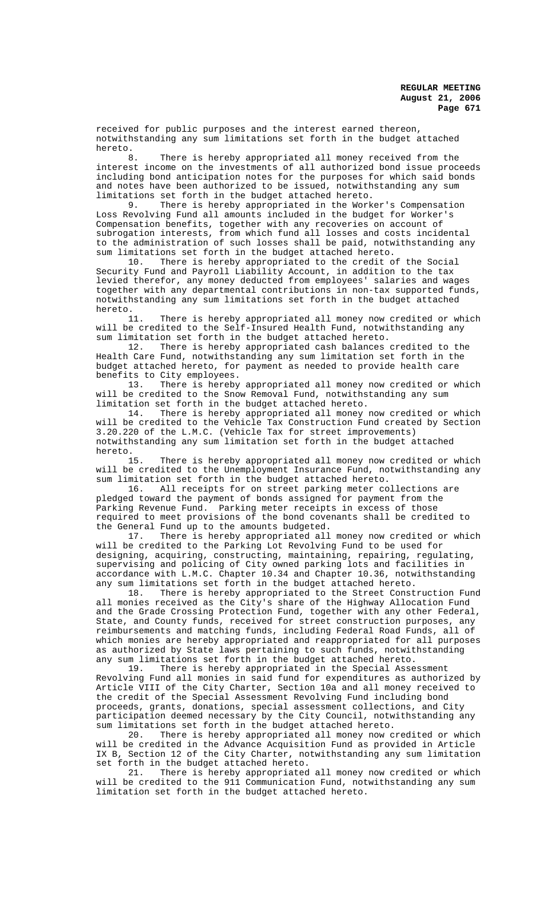received for public purposes and the interest earned thereon, notwithstanding any sum limitations set forth in the budget attached hereto.<br>8

There is hereby appropriated all money received from the interest income on the investments of all authorized bond issue proceeds including bond anticipation notes for the purposes for which said bonds and notes have been authorized to be issued, notwithstanding any sum limitations set forth in the budget attached hereto.

9. There is hereby appropriated in the Worker's Compensation Loss Revolving Fund all amounts included in the budget for Worker's Compensation benefits, together with any recoveries on account of subrogation interests, from which fund all losses and costs incidental to the administration of such losses shall be paid, notwithstanding any sum limitations set forth in the budget attached hereto.

10. There is hereby appropriated to the credit of the Social Security Fund and Payroll Liability Account, in addition to the tax levied therefor, any money deducted from employees' salaries and wages together with any departmental contributions in non-tax supported funds, notwithstanding any sum limitations set forth in the budget attached hereto.

11. There is hereby appropriated all money now credited or which will be credited to the Self-Insured Health Fund, notwithstanding any sum limitation set forth in the budget attached hereto.

12. There is hereby appropriated cash balances credited to the Health Care Fund, notwithstanding any sum limitation set forth in the budget attached hereto, for payment as needed to provide health care benefits to City employees.<br>13. There is hereby

There is hereby appropriated all money now credited or which will be credited to the Snow Removal Fund, notwithstanding any sum limitation set forth in the budget attached hereto.

There is hereby appropriated all money now credited or which will be credited to the Vehicle Tax Construction Fund created by Section 3.20.220 of the L.M.C. (Vehicle Tax for street improvements) notwithstanding any sum limitation set forth in the budget attached hereto.

15. There is hereby appropriated all money now credited or which will be credited to the Unemployment Insurance Fund, notwithstanding any sum limitation set forth in the budget attached hereto.

16. All receipts for on street parking meter collections are pledged toward the payment of bonds assigned for payment from the Parking Revenue Fund. Parking meter receipts in excess of those required to meet provisions of the bond covenants shall be credited to the General Fund up to the amounts budgeted.

17. There is hereby appropriated all money now credited or which will be credited to the Parking Lot Revolving Fund to be used for designing, acquiring, constructing, maintaining, repairing, regulating, supervising and policing of City owned parking lots and facilities in accordance with L.M.C. Chapter 10.34 and Chapter 10.36, notwithstanding any sum limitations set forth in the budget attached hereto.

18. There is hereby appropriated to the Street Construction Fund all monies received as the City's share of the Highway Allocation Fund and the Grade Crossing Protection Fund, together with any other Federal, State, and County funds, received for street construction purposes, any reimbursements and matching funds, including Federal Road Funds, all of which monies are hereby appropriated and reappropriated for all purposes as authorized by State laws pertaining to such funds, notwithstanding

any sum limitations set forth in the budget attached hereto.<br>19. There is hereby appropriated in the Special Asse There is hereby appropriated in the Special Assessment Revolving Fund all monies in said fund for expenditures as authorized by Article VIII of the City Charter, Section 10a and all money received to the credit of the Special Assessment Revolving Fund including bond proceeds, grants, donations, special assessment collections, and City participation deemed necessary by the City Council, notwithstanding any sum limitations set forth in the budget attached hereto.

20. There is hereby appropriated all money now credited or which will be credited in the Advance Acquisition Fund as provided in Article IX B, Section 12 of the City Charter, notwithstanding any sum limitation set forth in the budget attached hereto.

21. There is hereby appropriated all money now credited or which will be credited to the 911 Communication Fund, notwithstanding any sum limitation set forth in the budget attached hereto.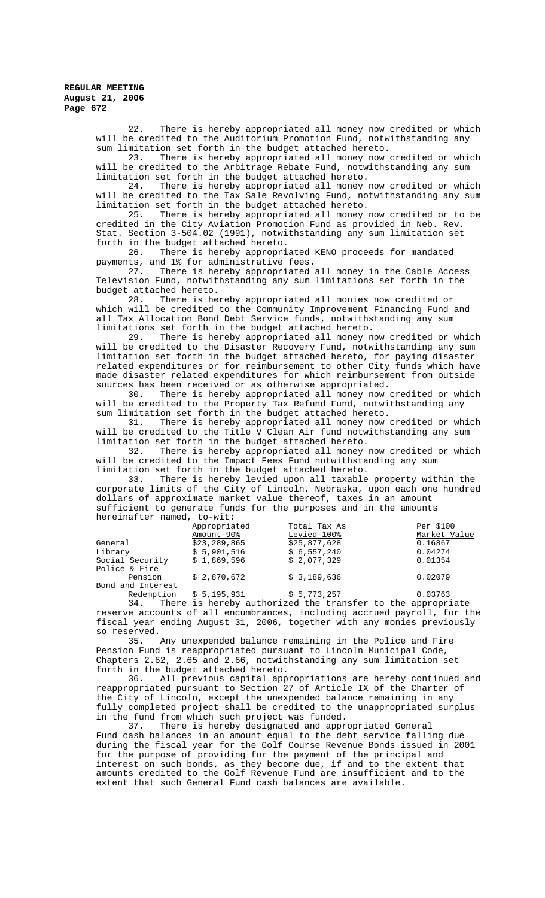> 22. There is hereby appropriated all money now credited or which will be credited to the Auditorium Promotion Fund, notwithstanding any

> sum limitation set forth in the budget attached hereto.<br>23. There is hereby appropriated all money now There is hereby appropriated all money now credited or which will be credited to the Arbitrage Rebate Fund, notwithstanding any sum limitation set forth in the budget attached hereto.

> 24. There is hereby appropriated all money now credited or which will be credited to the Tax Sale Revolving Fund, notwithstanding any sum

> limitation set forth in the budget attached hereto.<br>25. There is hereby appropriated all money There is hereby appropriated all money now credited or to be credited in the City Aviation Promotion Fund as provided in Neb. Rev. Stat. Section 3-504.02 (1991), notwithstanding any sum limitation set

forth in the budget attached hereto.<br>26. There is hereby appropri There is hereby appropriated KENO proceeds for mandated payments, and 1% for administrative fees.

27. There is hereby appropriated all money in the Cable Access Television Fund, notwithstanding any sum limitations set forth in the budget attached hereto.<br>28. There is he

There is hereby appropriated all monies now credited or which will be credited to the Community Improvement Financing Fund and all Tax Allocation Bond Debt Service funds, notwithstanding any sum limitations set forth in the budget attached hereto.

29. There is hereby appropriated all money now credited or which will be credited to the Disaster Recovery Fund, notwithstanding any sum limitation set forth in the budget attached hereto, for paying disaster related expenditures or for reimbursement to other City funds which have made disaster related expenditures for which reimbursement from outside sources has been received or as otherwise appropriated.<br>30. There is hereby appropriated all money now

There is hereby appropriated all money now credited or which will be credited to the Property Tax Refund Fund, notwithstanding any sum limitation set forth in the budget attached hereto.

31. There is hereby appropriated all money now credited or which will be credited to the Title V Clean Air fund notwithstanding any sum

limitation set forth in the budget attached hereto.<br>32. There is hereby appropriated all money There is hereby appropriated all money now credited or which will be credited to the Impact Fees Fund notwithstanding any sum limitation set forth in the budget attached hereto.

33. There is hereby levied upon all taxable property within the corporate limits of the City of Lincoln, Nebraska, upon each one hundred dollars of approximate market value thereof, taxes in an amount sufficient to generate funds for the purposes and in the amounts hereinafter named, to-wit:

|                   | Appropriated   | Total Tax As | Per \$100    |
|-------------------|----------------|--------------|--------------|
|                   | Amount-90%     | Levied-100%  | Market Value |
| General           | \$23, 289, 865 | \$25,877,628 | 0.16867      |
| Library           | \$5,901,516    | \$6,557,240  | 0.04274      |
| Social Security   | \$1,869,596    | \$2,077,329  | 0.01354      |
| Police & Fire     |                |              |              |
| Pension           | \$2,870,672    | \$3,189,636  | 0.02079      |
| Bond and Interest |                |              |              |
| $D = \frac{1}{2}$ | 5 E 10E 001    | 6 E 770 OE7  | 0.02752      |

Redemption \$ 5,195,931 \$ 5,773,257 0.03763 34. There is hereby authorized the transfer to the appropriate reserve accounts of all encumbrances, including accrued payroll, for the fiscal year ending August 31, 2006, together with any monies previously so reserved.

35. Any unexpended balance remaining in the Police and Fire Pension Fund is reappropriated pursuant to Lincoln Municipal Code, Chapters 2.62, 2.65 and 2.66, notwithstanding any sum limitation set forth in the budget attached hereto.

36. All previous capital appropriations are hereby continued and reappropriated pursuant to Section 27 of Article IX of the Charter of the City of Lincoln, except the unexpended balance remaining in any fully completed project shall be credited to the unappropriated surplus in the fund from which such project was funded.<br>37 There is hereby designated and appr

There is hereby designated and appropriated General Fund cash balances in an amount equal to the debt service falling due during the fiscal year for the Golf Course Revenue Bonds issued in 2001 for the purpose of providing for the payment of the principal and interest on such bonds, as they become due, if and to the extent that amounts credited to the Golf Revenue Fund are insufficient and to the extent that such General Fund cash balances are available.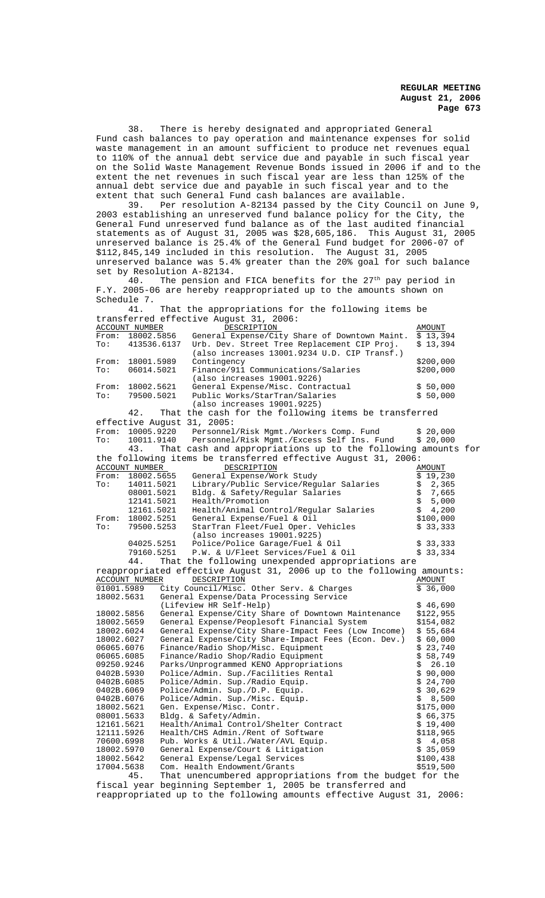38. There is hereby designated and appropriated General Fund cash balances to pay operation and maintenance expenses for solid waste management in an amount sufficient to produce net revenues equal to 110% of the annual debt service due and payable in such fiscal year on the Solid Waste Management Revenue Bonds issued in 2006 if and to the extent the net revenues in such fiscal year are less than 125% of the annual debt service due and payable in such fiscal year and to the extent that such General Fund cash balances are available.<br>39 Per resolution A-82134 passed by the City Coun

Per resolution A-82134 passed by the City Council on June 9, 2003 establishing an unreserved fund balance policy for the City, the General Fund unreserved fund balance as of the last audited financial statements as of August 31, 2005 was \$28,605,186. This August 31, 2005 unreserved balance is 25.4% of the General Fund budget for 2006-07 of \$112,845,149 included in this resolution. The August 31, 2005 unreserved balance was 5.4% greater than the 20% goal for such balance set by Resolution A-82134.

40. The pension and FICA benefits for the 27<sup>th</sup> pay period in F.Y. 2005-06 are hereby reappropriated up to the amounts shown on Schedule 7.

41. That the appropriations for the following items be transferred effective August 31, 2006: ACCOUNT NUMBER DESCRIPTION AMOUNT From: 18002.5856 General Expense/City Share of Downtown Maint. \$ 13,394 From: 18002.5856 General Expense/City Share of Downtown Maint.  $\frac{1}{5}$  13,394<br>To: 413536.6137 Urb. Dev. Street Tree Replacement CIP Proj. \$ 13,394 (also increases 13001.9234 U.D. CIP Transf.) From: 18001.5989 Contingency 6200,000<br>To: 06014.5021 Finance/911 Communications/Salaries \$200,000 Finance/911 Communications/Salaries (also increases 19001.9226) From: 18002.5621 General Expense/Misc. Contractual \$ 50,000 To: 79500.5021 Public Works/StarTran/Salaries \$ 50,000 (also increases 19001.9225) 42. That the cash for the following items be transferred effective August 31, 2005:<br>From: 10005.9220 Personnel From: 10005.9220 Personnel/Risk Mgmt./Workers Comp. Fund \$ 20,000<br>To: 10011.9140 Personnel/Risk Mgmt./Excess Self Ins. Fund \$ 20,000 10011.9140 Personnel/Risk Mgmt./Excess Self Ins. Fund 43. That cash and appropriations up to the follow That cash and appropriations up to the following amounts for the following items be transferred effective August 31, 2006:<br>ACCOUNT NUMBER DESCRIPTION ACCOUNT NUMBER DESCRIPTION DESCRIPTION AMOUNT AMOUNT AND AMOUNT SERVICE AND AMOUNT AREA DESCRIPTION AND A SUBSIDI From: 18002.5655 General Expense/Work Study  $\frac{1}{3}$  19,230<br>To: 14011.5021 Library/Public Service/Reqular Salaries \$ 2,365 14011.5021 Library/Public Service/Regular Salaries \$ 2,365<br>08001.5021 Bldg. & Safety/Regular Salaries \$ 7,665 08001.5021 Bldg. & Safety/Regular Salaries \$ 7,665<br>12141.5021 Health/Promotion \$ 5,000 5 5,000 12141.5021 Health/Promotion<br>12161.5021 Health/Animal Control/Regular Salaries \$ 4,200 12161.5021 Health/Animal Control/Regular Salaries \$ 4,200<br>From: 18002.5251 General Expense/Fuel & Oil \$100.000 From: 18002.5251 General Expense/Fuel & Oil \$100,000<br>To: 79500.5253 StarTran Fleet/Fuel Oper. Vehicles \$33,333 StarTran Fleet/Fuel Oper. (also increases 19001.9225) 04025.5251 Police/Police Garage/Fuel & Oil \$ 33,333<br>79160.5251 P.W. & U/Fleet Services/Fuel & Oil \$ 33,334 P.W. & U/Fleet Services/Fuel & Oil  $$33,334$ 44. That the following unexpended appropriations are reappropriated effective August 31, 2006 up to the following amounts:<br>ACCOUNT NUMBER DESCRIPTION ACCOUNT NUMBER DESCRIPTION (ACCOUNT MOUNT)<br>01001.5989 City Council/Misc. Other Serv. & Charges (\$ 36,000) City Council/Misc. Other Serv. & Charges 18002.5631 General Expense/Data Processing Service (Lifeview HR Self-Help)  $$46,690$ <br>General Expense/City Share of Downtown Maintenance \$122,955 18002.5856 General Expense/City Share of Downtown Maintenance \$122,955 18002.5659 General Expense/Peoplesoft Financial System \$154,082<br>18002.6024 General Expense/City Share-Impact Fees (Low Income) \$55,684 18002.6024 General Expense/City Share-Impact Fees (Low Income) \$ 55,684 18002.6027 General Expense/City Share-Impact Fees (Econ. Dev.) \$ 60,000 06065.6076 Finance/Radio Shop/Misc. Equipment  $$23,740$ 06065.6085 Finance/Radio Shop/Radio Equipment \$ 58,749 09250.9246 Parks/Unprogrammed KENO Appropriations  $\zeta$  26.10<br>0402B.5930 Police/Admin. Sup./Facilities Rental  $\zeta$  90,000 0402B.5930 Police/Admin. Sup./Facilities Rental  $\frac{1}{5}$  90,000<br>0402B.6085 Police/Admin. Sup./Radio Equip.  $\frac{1}{5}$  24,700 0402B.6085 Police/Admin. Sup./Radio Equip. <br>0402B.6069 Police/Admin. Sup./D.P. Equip. (\$ 30,629) 0402B.6069 Police/Admin. Sup./D.P. Equip.<br>0402B.6076 Police/Admin. Sup./Misc. Equip. \$ 8,500 0402B.6076 Police/Admin. Sup./Misc. Equip. \$ 8,500 18002.5621 Gen. Expense/Misc. Contr. \$175,000 08001.5633 Bldg. & Safety/Admin. \$ 66,375 12161.5621 Health/Animal Control/Shelter Contract \$ 19,400<br>12111.5926 Health/CHS Admin./Rent of Software \$118,965 12111.5926 Health/CHS Admin./Rent of Software  $\begin{array}{lll} \xi & \xi & \xi & 118,965 \\ 70600.6998 & \text{Pub. Works & Util./Water/AVL Equiv.} \end{array}$   $\begin{array}{lll} \xi & \xi & 4,058 \\ \xi & 4,058 \\ \xi & 35,059 \end{array}$ 70600.6998 Pub. Works & Util./Water/AVL Equip.<br>18002.5970 General Expense/Court & Litigation 18002.5970 General Expense/Court & Litigation \$ 35,059 18002.5642 General Expense/Legal Services \$100,438 17004.5638 Com. Health Endowment/Grants \$519,500 45. That unencumbered appropriations from the budget for the

fiscal year beginning September 1, 2005 be transferred and reappropriated up to the following amounts effective August 31, 2006: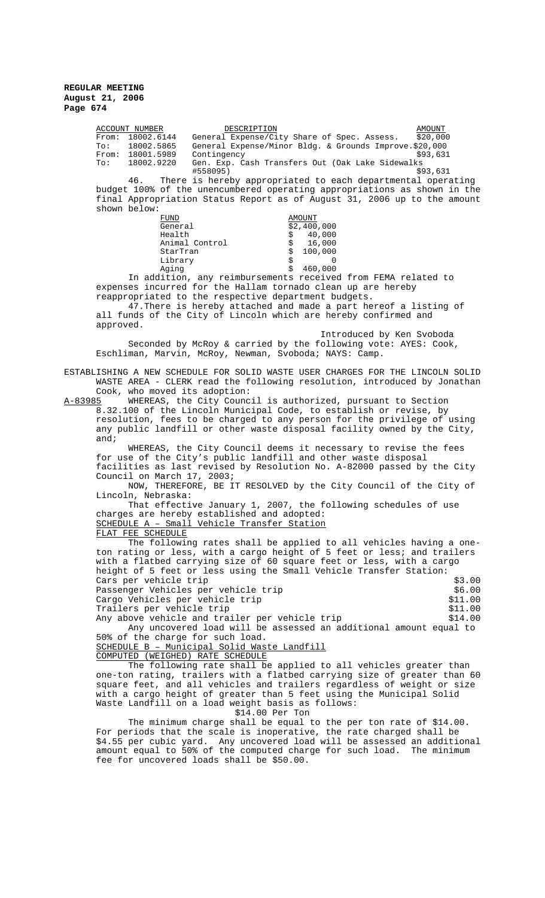ACCOUNT NUMBER DESCRIPTION AMOUNT From: 18002.6144 General Expense/City Share of Spec. Assess. \$20,000 To: 18002.5865 General Expense/Minor Bldg. & Grounds Improve.\$20,000 From: 18001.5989 Contingency \$93,631 To: 18002.9220 Gen. Exp. Cash Transfers Out (Oak Lake Sidewalks #558095) \$93,631 46. There is hereby appropriated to each departmental operating budget 100% of the unencumbered operating appropriations as shown in the final Appropriation Status Report as of August 31, 2006 up to the amount shown below:<br>FUND FUND<br>General 32,400  $$2,400,000$ Health  $\frac{1}{5}$  40,000<br>Animal Control  $\frac{1}{5}$  16.000 Animal Control  $\stackrel{\cdot}{\phantom{\cdot}}\stackrel{\cdot}{\phantom{\cdot}}\text{StarTran}$  $\begin{array}{cc} \n\dot{s} & 100,000 \\
\dot{s} & 0\n\end{array}$ Library<br>Aging  $$ 460,000$ In addition, any reimbursements received from FEMA related to expenses incurred for the Hallam tornado clean up are hereby reappropriated to the respective department budgets. 47.There is hereby attached and made a part hereof a listing of all funds of the City of Lincoln which are hereby confirmed and approved. Introduced by Ken Svoboda Seconded by McRoy & carried by the following vote: AYES: Cook, Eschliman, Marvin, McRoy, Newman, Svoboda; NAYS: Camp. ESTABLISHING A NEW SCHEDULE FOR SOLID WASTE USER CHARGES FOR THE LINCOLN SOLID WASTE AREA - CLERK read the following resolution, introduced by Jonathan Cook, who moved its adoption:<br>A-83985 WHEREAS, the City Counc WHEREAS, the City Council is authorized, pursuant to Section 8.32.100 of the Lincoln Municipal Code, to establish or revise, by resolution, fees to be charged to any person for the privilege of using any public landfill or other waste disposal facility owned by the City, and; WHEREAS, the City Council deems it necessary to revise the fees for use of the City's public landfill and other waste disposal facilities as last revised by Resolution No. A-82000 passed by the City Council on March 17, 2003; NOW, THEREFORE, BE IT RESOLVED by the City Council of the City of Lincoln, Nebraska: That effective January 1, 2007, the following schedules of use charges are hereby established and adopted: SCHEDULE A – Small Vehicle Transfer Station FLAT FEE SCHEDULE The following rates shall be applied to all vehicles having a oneton rating or less, with a cargo height of 5 feet or less; and trailers with a flatbed carrying size of 60 square feet or less, with a cargo height of 5 feet or less using the Small Vehicle Transfer Station: Cars per vehicle trip \$3.00 Passenger Vehicles per vehicle trip  $$6.00$ <br>Cargo Vehicles per vehicle trip  $$11.00$ Cargo Vehicles per vehicle trip Trailers per vehicle trip<br>Any above vehicle and trailer per vehicle trip \$14.00 Any above vehicle and trailer per vehicle trip Any uncovered load will be assessed an additional amount equal to 50% of the charge for such load. SCHEDULE B – Municipal Solid Waste Landfill COMPUTED (WEIGHED) RATE SCHEDULE The following rate shall be applied to all vehicles greater than one-ton rating, trailers with a flatbed carrying size of greater than 60 square feet, and all vehicles and trailers regardless of weight or size with a cargo height of greater than 5 feet using the Municipal Solid Waste Landfill on a load weight basis as follows: \$14.00 Per Ton The minimum charge shall be equal to the per ton rate of \$14.00. For periods that the scale is inoperative, the rate charged shall be \$4.55 per cubic yard. Any uncovered load will be assessed an additional amount equal to 50% of the computed charge for such load. The minimum fee for uncovered loads shall be \$50.00.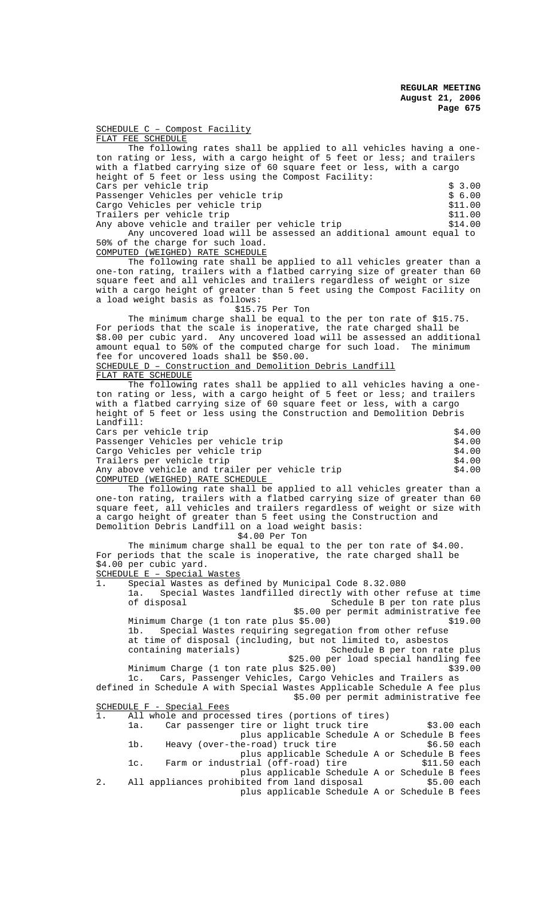SCHEDULE C – Compost Facility FLAT FEE SCHEDULE The following rates shall be applied to all vehicles having a oneton rating or less, with a cargo height of 5 feet or less; and trailers with a flatbed carrying size of 60 square feet or less, with a cargo height of 5 feet or less using the Compost Facility: Cars per vehicle trip \$ 3.00 Passenger Vehicles per vehicle trip \$ 6.00 Cargo Vehicles per vehicle trip  $$11.00$ <br>Trailers per vehicle trip  $$11.00$ Trailers per vehicle trip Any above vehicle and trailer per vehicle trip  $$14.00$ Any uncovered load will be assessed an additional amount equal to 50% of the charge for such load. COMPUTED (WEIGHED) RATE SCHEDULE

The following rate shall be applied to all vehicles greater than a one-ton rating, trailers with a flatbed carrying size of greater than 60 square feet and all vehicles and trailers regardless of weight or size with a cargo height of greater than 5 feet using the Compost Facility on a load weight basis as follows:

\$15.75 Per Ton

The minimum charge shall be equal to the per ton rate of \$15.75. For periods that the scale is inoperative, the rate charged shall be \$8.00 per cubic yard. Any uncovered load will be assessed an additional amount equal to 50% of the computed charge for such load. The minimum fee for uncovered loads shall be \$50.00. SCHEDULE D – Construction and Demolition Debris Landfill

FLAT RATE SCHEDULE

The following rates shall be applied to all vehicles having a oneton rating or less, with a cargo height of 5 feet or less; and trailers with a flatbed carrying size of 60 square feet or less, with a cargo height of 5 feet or less using the Construction and Demolition Debris Landfill: Cars per vehicle trip<br>Passenger Vehicles per vehicle trip entry that the second state of the second state of the second state of the Passenger Vehicles per vehicle trip

| Cargo Vehicles per vehicle trip                | \$4.00 |
|------------------------------------------------|--------|
| Trailers per vehicle trip                      | \$4.00 |
| Any above vehicle and trailer per vehicle trip | \$4.00 |
| COMPUTED (WEIGHED) RATE SCHEDULE               |        |

The following rate shall be applied to all vehicles greater than a one-ton rating, trailers with a flatbed carrying size of greater than 60 square feet, all vehicles and trailers regardless of weight or size with a cargo height of greater than 5 feet using the Construction and Demolition Debris Landfill on a load weight basis:

\$4.00 Per Ton

The minimum charge shall be equal to the per ton rate of \$4.00. For periods that the scale is inoperative, the rate charged shall be \$4.00 per cubic yard. SCHEDULE E – Special Wastes 1. Special Wastes as defined by Municipal Code 8.32.080

1a. Special Wastes landfilled directly with other refuse at time schedule B per ton rate plus \$5.00 per permit administrative fee Minimum Charge (1 ton rate plus \$5.00) \$19.00 1b. Special Wastes requiring segregation from other refuse at time of disposal (including, but not limited to, asbestos Schedule B per ton rate plus \$25.00 per load special handling fee Minimum Charge (1 ton rate plus \$25.00) \$39.00<br>1c. Cars, Passenger Vehicles, Cargo Vehicles and Trailers as Cars, Passenger Vehicles, Cargo Vehicles and Trailers as defined in Schedule A with Special Wastes Applicable Schedule A fee plus

|    |     |                           |                                                         |  | \$5.00 per permit administrative fee |  |
|----|-----|---------------------------|---------------------------------------------------------|--|--------------------------------------|--|
|    |     | SCHEDULE F - Special Fees |                                                         |  |                                      |  |
|    |     |                           | 1. All whole and processed tires (portions of tires)    |  |                                      |  |
|    | 1a. |                           | Car passenger tire or light truck tire                  |  | $$3.00$ each                         |  |
|    |     |                           | plus applicable Schedule A or Schedule B fees           |  |                                      |  |
|    | 1b. |                           | Heavy (over-the-road) truck tire                        |  | $$6.50$ each                         |  |
|    |     |                           | plus applicable Schedule A or Schedule B fees           |  |                                      |  |
|    | lc. |                           | Farm or industrial (off-road) tire                      |  | $$11.50$ each                        |  |
|    |     |                           | plus applicable Schedule A or Schedule B fees           |  |                                      |  |
| 2. |     |                           | All appliances prohibited from land disposal 55.00 each |  |                                      |  |
|    |     |                           | plus applicable Schedule A or Schedule B fees           |  |                                      |  |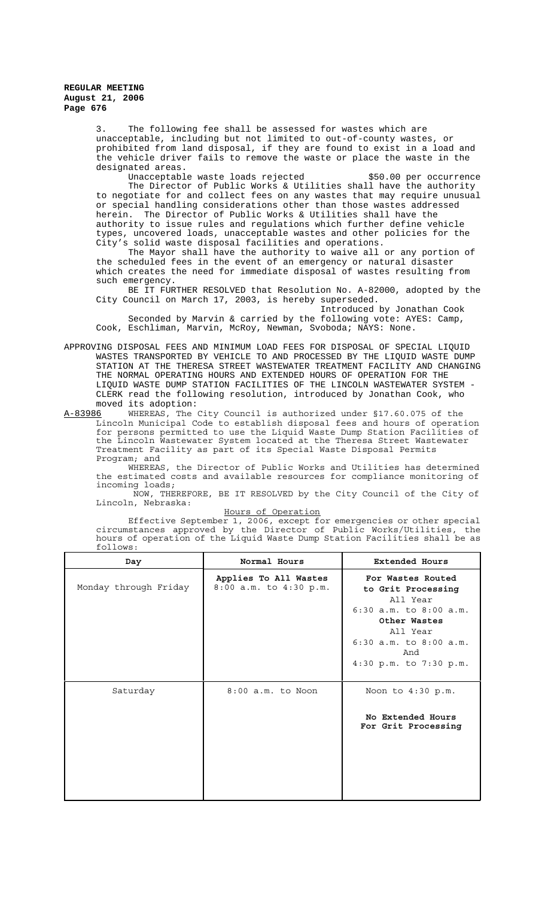> 3. The following fee shall be assessed for wastes which are unacceptable, including but not limited to out-of-county wastes, or prohibited from land disposal, if they are found to exist in a load and the vehicle driver fails to remove the waste or place the waste in the designated areas.

Unacceptable waste loads rejected  $$50.00$  per occurrence The Director of Public Works & Utilities shall have the authority to negotiate for and collect fees on any wastes that may require unusual or special handling considerations other than those wastes addressed herein. The Director of Public Works & Utilities shall have the authority to issue rules and regulations which further define vehicle types, uncovered loads, unacceptable wastes and other policies for the City's solid waste disposal facilities and operations.

The Mayor shall have the authority to waive all or any portion of the scheduled fees in the event of an emergency or natural disaster which creates the need for immediate disposal of wastes resulting from such emergency.

BE IT FURTHER RESOLVED that Resolution No. A-82000, adopted by the City Council on March 17, 2003, is hereby superseded.

Introduced by Jonathan Cook Seconded by Marvin & carried by the following vote: AYES: Camp, Cook, Eschliman, Marvin, McRoy, Newman, Svoboda; NAYS: None.

APPROVING DISPOSAL FEES AND MINIMUM LOAD FEES FOR DISPOSAL OF SPECIAL LIQUID WASTES TRANSPORTED BY VEHICLE TO AND PROCESSED BY THE LIQUID WASTE DUMP STATION AT THE THERESA STREET WASTEWATER TREATMENT FACILITY AND CHANGING THE NORMAL OPERATING HOURS AND EXTENDED HOURS OF OPERATION FOR THE LIQUID WASTE DUMP STATION FACILITIES OF THE LINCOLN WASTEWATER SYSTEM - CLERK read the following resolution, introduced by Jonathan Cook, who

moved its adoption:<br>A-83986 WHEREAS, The WHEREAS, The City Council is authorized under §17.60.075 of the Lincoln Municipal Code to establish disposal fees and hours of operation for persons permitted to use the Liquid Waste Dump Station Facilities of the Lincoln Wastewater System located at the Theresa Street Wastewater Treatment Facility as part of its Special Waste Disposal Permits Program; and

WHEREAS, the Director of Public Works and Utilities has determined the estimated costs and available resources for compliance monitoring of incoming loads;

 NOW, THEREFORE, BE IT RESOLVED by the City Council of the City of Lincoln, Nebraska:

Hours of Operation

Effective September 1, 2006, except for emergencies or other special circumstances approved by the Director of Public Works/Utilities, the hours of operation of the Liquid Waste Dump Station Facilities shall be as follows:

| Day                   | Normal Hours                                    | <b>Extended Hours</b>                                                                                                                                                        |  |  |
|-----------------------|-------------------------------------------------|------------------------------------------------------------------------------------------------------------------------------------------------------------------------------|--|--|
| Monday through Friday | Applies To All Wastes<br>8:00 a.m. to 4:30 p.m. | For Wastes Routed<br>to Grit Processing<br>All Year<br>$6:30$ a.m. to $8:00$ a.m.<br>Other Wastes<br>All Year<br>$6:30$ a.m. to $8:00$ a.m.<br>And<br>4:30 p.m. to 7:30 p.m. |  |  |
| Saturday              | $8:00$ a.m. to Noon                             | Noon to $4:30$ p.m.<br>No Extended Hours<br>For Grit Processing                                                                                                              |  |  |
|                       |                                                 |                                                                                                                                                                              |  |  |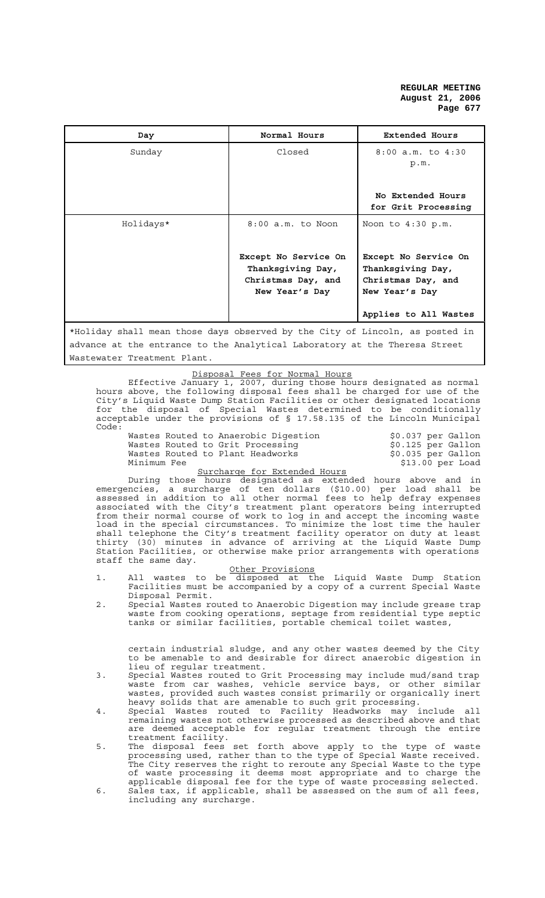| Day                                                                          | Normal Hours                                                                      | <b>Extended Hours</b>                                                             |  |  |
|------------------------------------------------------------------------------|-----------------------------------------------------------------------------------|-----------------------------------------------------------------------------------|--|--|
| Sunday                                                                       | Closed                                                                            | $8:00$ a.m. to $4:30$<br>p.m.                                                     |  |  |
|                                                                              |                                                                                   | No Extended Hours<br>for Grit Processing                                          |  |  |
| Holidays*                                                                    | $8:00$ a.m. to Noon                                                               | Noon to $4:30$ p.m.                                                               |  |  |
|                                                                              | Except No Service On<br>Thanksgiving Day,<br>Christmas Day, and<br>New Year's Day | Except No Service On<br>Thanksgiving Day,<br>Christmas Day, and<br>New Year's Day |  |  |
|                                                                              |                                                                                   | Applies to All Wastes                                                             |  |  |
| *Holiday shall mean those days observed by the City of Lincoln, as posted in |                                                                                   |                                                                                   |  |  |
| advance at the entrance to the Analytical Laboratory at the Theresa Street   |                                                                                   |                                                                                   |  |  |
| Wastewater Treatment Plant.                                                  |                                                                                   |                                                                                   |  |  |

Disposal Fees for Normal Hours

Effective January 1, 2007, during those hours designated as normal hours above, the following disposal fees shall be charged for use of the City's Liquid Waste Dump Station Facilities or other designated locations for the disposal of Special Wastes determined to be conditionally acceptable under the provisions of § 17.58.135 of the Lincoln Municipal Code:

Wastes Routed to Anaerobic Digestion  $\begin{array}{ccc}\n\text{Wastes Routed to Grit Processing} & \text{$0.037 per Gallon}\n\text{Wastes Routed to Plant Headworks} & \text{$0.035 per Gallon}\n\end{array}$ Wastes Routed to Grit Processing The States and Society and Society and Waster Gallon Wastes Routed to Plant Headworks \$0.035 per Gallon Minimum Fee \$13.00 per Load

# Surcharge for Extended Hours

During those hours designated as extended hours above and in emergencies, a surcharge of ten dollars (\$10.00) per load shall be assessed in addition to all other normal fees to help defray expenses associated with the City's treatment plant operators being interrupted from their normal course of work to log in and accept the incoming waste load in the special circumstances. To minimize the lost time the hauler shall telephone the City's treatment facility operator on duty at least thirty (30) minutes in advance of arriving at the Liquid Waste Dump Station Facilities, or otherwise make prior arrangements with operations staff the same day.

#### Other Provisions

- 1. All wastes to be disposed at the Liquid Waste Dump Station Facilities must be accompanied by a copy of a current Special Waste Disposal Permit.
- 2. Special Wastes routed to Anaerobic Digestion may include grease trap waste from cooking operations, septage from residential type septic tanks or similar facilities, portable chemical toilet wastes,

certain industrial sludge, and any other wastes deemed by the City to be amenable to and desirable for direct anaerobic digestion in lieu of regular treatment.

- 3. Special Wastes routed to Grit Processing may include mud/sand trap waste from car washes, vehicle service bays, or other similar wastes, provided such wastes consist primarily or organically inert heavy solids that are amenable to such grit processing.
- 4. Special Wastes routed to Facility Headworks may include all remaining wastes not otherwise processed as described above and that are deemed acceptable for regular treatment through the entire treatment facility.
- 5. The disposal fees set forth above apply to the type of waste processing used, rather than to the type of Special Waste received. The City reserves the right to reroute any Special Waste to the type of waste processing it deems most appropriate and to charge the applicable disposal fee for the type of waste processing selected.
- 6. Sales tax, if applicable, shall be assessed on the sum of all fees, including any surcharge.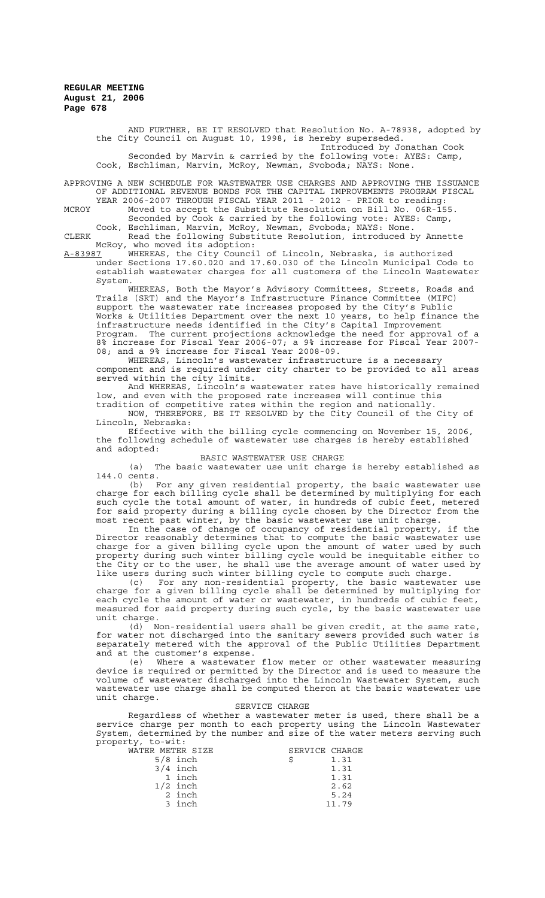> AND FURTHER, BE IT RESOLVED that Resolution No. A-78938, adopted by the City Council on August 10, 1998, is hereby superseded. Introduced by Jonathan Cook Seconded by Marvin & carried by the following vote: AYES: Camp, Cook, Eschliman, Marvin, McRoy, Newman, Svoboda; NAYS: None.

APPROVING A NEW SCHEDULE FOR WASTEWATER USE CHARGES AND APPROVING THE ISSUANCE OF ADDITIONAL REVENUE BONDS FOR THE CAPITAL IMPROVEMENTS PROGRAM FISCAL YEAR 2006-2007 THROUGH FISCAL YEAR 2011 - 2012 - PRIOR to reading:

MCROY Moved to accept the Substitute Resolution on Bill No. 06R-155. Seconded by Cook & carried by the following vote: AYES: Camp,

Cook, Eschliman, Marvin, McRoy, Newman, Svoboda; NAYS: None.

CLERK Read the following Substitute Resolution, introduced by Annette McRoy, who moved its adoption:

A-83987 WHEREAS, the City Council of Lincoln, Nebraska, is authorized under Sections 17.60.020 and 17.60.030 of the Lincoln Municipal Code to establish wastewater charges for all customers of the Lincoln Wastewater System.

WHEREAS, Both the Mayor's Advisory Committees, Streets, Roads and Trails (SRT) and the Mayor's Infrastructure Finance Committee (MIFC) support the wastewater rate increases proposed by the City's Public Works & Utilities Department over the next 10 years, to help finance the infrastructure needs identified in the City's Capital Improvement Program. The current projections acknowledge the need for approval of a 8% increase for Fiscal Year 2006-07; a 9% increase for Fiscal Year 2007- 08; and a 9% increase for Fiscal Year 2008-09.

WHEREAS, Lincoln's wastewater infrastructure is a necessary component and is required under city charter to be provided to all areas served within the city limits.

And WHEREAS, Lincoln's wastewater rates have historically remained low, and even with the proposed rate increases will continue this tradition of competitive rates within the region and nationally.

NOW, THEREFORE, BE IT RESOLVED by the City Council of the City of Lincoln, Nebraska:

Effective with the billing cycle commencing on November 15, 2006, the following schedule of wastewater use charges is hereby established and adopted:

#### BASIC WASTEWATER USE CHARGE

(a) The basic wastewater use unit charge is hereby established as 144.0 cents.

(b) For any given residential property, the basic wastewater use charge for each billing cycle shall be determined by multiplying for each such cycle the total amount of water, in hundreds of cubic feet, metered for said property during a billing cycle chosen by the Director from the most recent past winter, by the basic wastewater use unit charge.

In the case of change of occupancy of residential property, if the Director reasonably determines that to compute the basic wastewater use charge for a given billing cycle upon the amount of water used by such property during such winter billing cycle would be inequitable either to the City or to the user, he shall use the average amount of water used by like users during such winter billing cycle to compute such charge.

(c) For any non-residential property, the basic wastewater use charge for a given billing cycle shall be determined by multiplying for each cycle the amount of water or wastewater, in hundreds of cubic feet, measured for said property during such cycle, by the basic wastewater use unit charge.

(d) Non-residential users shall be given credit, at the same rate, for water not discharged into the sanitary sewers provided such water is separately metered with the approval of the Public Utilities Department and at the customer's expense.

(e) Where a wastewater flow meter or other wastewater measuring device is required or permitted by the Director and is used to measure the volume of wastewater discharged into the Lincoln Wastewater System, such wastewater use charge shall be computed theron at the basic wastewater use unit charge.

#### SERVICE CHARGE

Regardless of whether a wastewater meter is used, there shall be a service charge per month to each property using the Lincoln Wastewater System, determined by the number and size of the water meters serving such property, to-wit:<br>WATER METER

| WATER METER SIZE |            | SERVICE CHARGE |       |
|------------------|------------|----------------|-------|
|                  | $5/8$ inch |                | 1.31  |
|                  | $3/4$ inch |                | 1.31  |
|                  | 1 inch     |                | 1.31  |
|                  | $1/2$ inch |                | 2.62  |
|                  | 2 inch     |                | 5.24  |
|                  | 3 inch     |                | 11.79 |
|                  |            |                |       |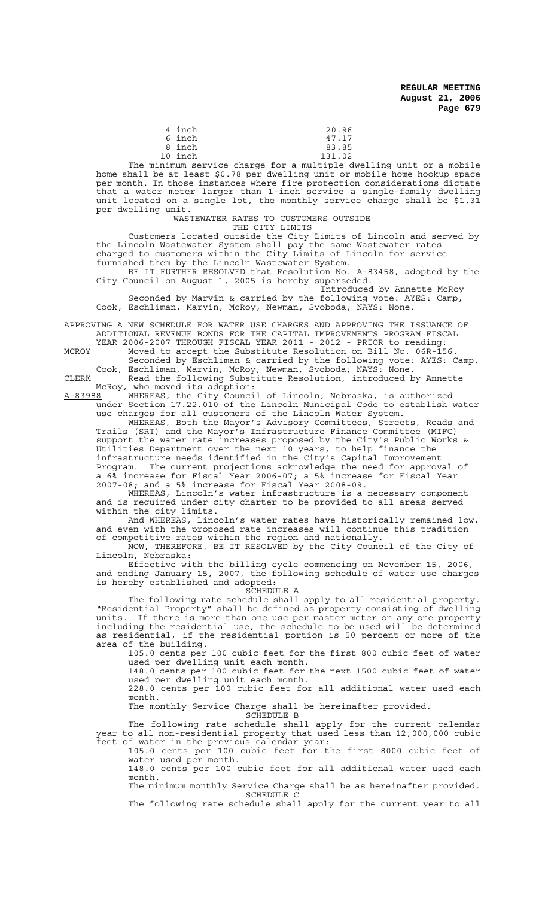| 4 inch  | 20.96  |
|---------|--------|
| 6 inch  | 47.17  |
| 8 inch  | 83.85  |
| 10 inch | 131.02 |

The minimum service charge for a multiple dwelling unit or a mobile home shall be at least \$0.78 per dwelling unit or mobile home hookup space per month. In those instances where fire protection considerations dictate that a water meter larger than 1-inch service a single-family dwelling unit located on a single lot, the monthly service charge shall be \$1.31 per dwelling unit.

WASTEWATER RATES TO CUSTOMERS OUTSIDE

THE CITY LIMITS

Customers located outside the City Limits of Lincoln and served by the Lincoln Wastewater System shall pay the same Wastewater rates charged to customers within the City Limits of Lincoln for service furnished them by the Lincoln Wastewater System.

BE IT FURTHER RESOLVED that Resolution No. A-83458, adopted by the City Council on August 1, 2005 is hereby superseded. Introduced by Annette McRoy

Seconded by Marvin & carried by the following vote: AYES: Camp, Cook, Eschliman, Marvin, McRoy, Newman, Svoboda; NAYS: None.

APPROVING A NEW SCHEDULE FOR WATER USE CHARGES AND APPROVING THE ISSUANCE OF ADDITIONAL REVENUE BONDS FOR THE CAPITAL IMPROVEMENTS PROGRAM FISCAL YEAR 2006-2007 THROUGH FISCAL YEAR 2011 - 2012 - PRIOR to reading:

MCROY Moved to accept the Substitute Resolution on Bill No. 06R-156. Seconded by Eschliman & carried by the following vote: AYES: Camp,

Cook, Eschliman, Marvin, McRoy, Newman, Svoboda; NAYS: None. CLERK Read the following Substitute Resolution, introduced by Annette

McRoy, who moved its adoption:

A-83988 WHEREAS, the City Council of Lincoln, Nebraska, is authorized under Section 17.22.010 of the Lincoln Municipal Code to establish water use charges for all customers of the Lincoln Water System.

WHEREAS, Both the Mayor's Advisory Committees, Streets, Roads and Trails (SRT) and the Mayor's Infrastructure Finance Committee (MIFC) support the water rate increases proposed by the City's Public Works & Utilities Department over the next 10 years, to help finance the infrastructure needs identified in the City's Capital Improvement Program. The current projections acknowledge the need for approval of a 6% increase for Fiscal Year 2006-07; a 5% increase for Fiscal Year 2007-08; and a 5% increase for Fiscal Year 2008-09.

WHEREAS, Lincoln's water infrastructure is a necessary component and is required under city charter to be provided to all areas served within the city limits.

And WHEREAS, Lincoln's water rates have historically remained low, and even with the proposed rate increases will continue this tradition of competitive rates within the region and nationally.

NOW, THEREFORE, BE IT RESOLVED by the City Council of the City of Lincoln, Nebraska:

Effective with the billing cycle commencing on November 15, 2006, and ending January 15, 2007, the following schedule of water use charges is hereby established and adopted:

SCHEDULE A

The following rate schedule shall apply to all residential property. "Residential Property" shall be defined as property consisting of dwelling units. If there is more than one use per master meter on any one property including the residential use, the schedule to be used will be determined as residential, if the residential portion is 50 percent or more of the area of the building.

105.0 cents per 100 cubic feet for the first 800 cubic feet of water used per dwelling unit each month.

148.0 cents per 100 cubic feet for the next 1500 cubic feet of water used per dwelling unit each month.

228.0 cents per 100 cubic feet for all additional water used each month.

The monthly Service Charge shall be hereinafter provided.

SCHEDULE B

The following rate schedule shall apply for the current calendar year to all non-residential property that used less than 12,000,000 cubic feet of water in the previous calendar year:

105.0 cents per 100 cubic feet for the first 8000 cubic feet of water used per month.

148.0 cents per 100 cubic feet for all additional water used each month.

The minimum monthly Service Charge shall be as hereinafter provided. SCHEDULE C

The following rate schedule shall apply for the current year to all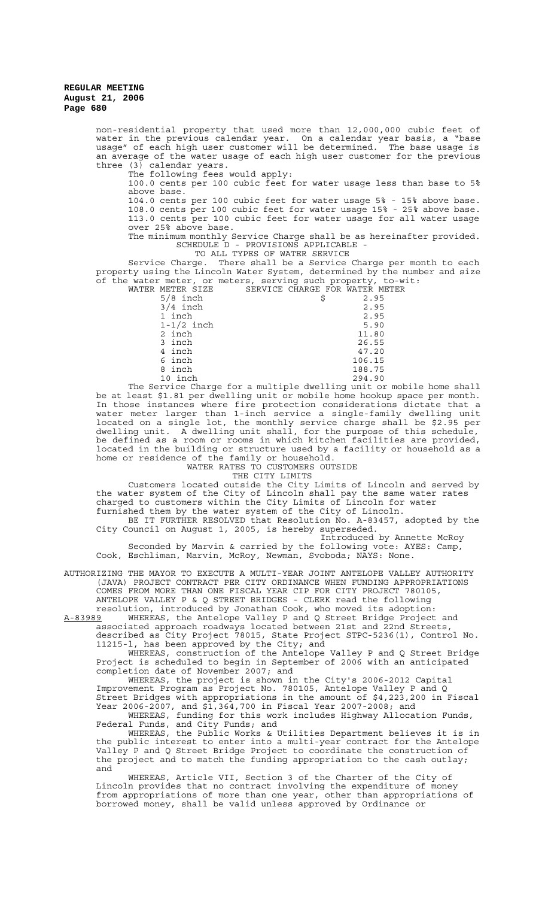> non-residential property that used more than 12,000,000 cubic feet of water in the previous calendar year. On a calendar year basis, a "base usage" of each high user customer will be determined. The base usage is an average of the water usage of each high user customer for the previous three (3) calendar years. The following fees would apply: 100.0 cents per 100 cubic feet for water usage less than base to 5% above base. 104.0 cents per 100 cubic feet for water usage 5% - 15% above base. 108.0 cents per 100 cubic feet for water usage 15% - 25% above base. 113.0 cents per 100 cubic feet for water usage for all water usage over 25% above base. The minimum monthly Service Charge shall be as hereinafter provided. SCHEDULE D - PROVISIONS APPLICABLE - TO ALL TYPES OF WATER SERVICE Service Charge. There shall be a Service Charge per month to each property using the Lincoln Water System, determined by the number and size of the water meter, or meters, serving such property, to-wit: WATER METER SIZE SERVICE CHARGE FOR WATER METER 5/8 inch <br>3/4 inch <br>3.95 <br>2.95  $3/4$  inch 1 inch 2.95  $1-1/2$  inch 5.90 2 inch 11.80 3 inch 26.55 47.20 6 inch 106.15 8 inch 188.75<br>10 inch 294.90 10 inch 294.90 The Service Charge for a multiple dwelling unit or mobile home shall be at least \$1.81 per dwelling unit or mobile home hookup space per month. In those instances where fire protection considerations dictate that a water meter larger than 1-inch service a single-family dwelling unit located on a single lot, the monthly service charge shall be \$2.95 per dwelling unit. A dwelling unit shall, for the purpose of this schedule, be defined as a room or rooms in which kitchen facilities are provided, located in the building or structure used by a facility or household as a home or residence of the family or household. WATER RATES TO CUSTOMERS OUTSIDE THE CITY LIMITS Customers located outside the City Limits of Lincoln and served by the water system of the City of Lincoln shall pay the same water rates

charged to customers within the City Limits of Lincoln for water

furnished them by the water system of the City of Lincoln.

BE IT FURTHER RESOLVED that Resolution No. A-83457, adopted by the City Council on August 1, 2005, is hereby superseded. Introduced by Annette McRoy

Seconded by Marvin & carried by the following vote: AYES: Camp, Cook, Eschliman, Marvin, McRoy, Newman, Svoboda; NAYS: None.

AUTHORIZING THE MAYOR TO EXECUTE A MULTI-YEAR JOINT ANTELOPE VALLEY AUTHORITY (JAVA) PROJECT CONTRACT PER CITY ORDINANCE WHEN FUNDING APPROPRIATIONS COMES FROM MORE THAN ONE FISCAL YEAR CIP FOR CITY PROJECT 780105, ANTELOPE VALLEY P & Q STREET BRIDGES - CLERK read the following resolution, introduced by Jonathan Cook, who moved its adoption:

A-83989 MHEREAS, the Antelope Valley P and Q Street Bridge Project and associated approach roadways located between 21st and 22nd Streets, described as City Project 78015, State Project STPC-5236(1), Control No.

11215-l, has been approved by the City; and WHEREAS, construction of the Antelope Valley P and Q Street Bridge Project is scheduled to begin in September of 2006 with an anticipated completion date of November 2007; and

WHEREAS, the project is shown in the City's 2006-2012 Capital Improvement Program as Project No. 780105, Antelope Valley P and Q Street Bridges with appropriations in the amount of \$4,223,200 in Fiscal Year 2006-2007, and \$1,364,700 in Fiscal Year 2007-2008; and WHEREAS, funding for this work includes Highway Allocation Funds,

Federal Funds, and City Funds; and WHEREAS, the Public Works & Utilities Department believes it is in

the public interest to enter into a multi-year contract for the Antelope Valley P and Q Street Bridge Project to coordinate the construction of the project and to match the funding appropriation to the cash outlay; and

WHEREAS, Article VII, Section 3 of the Charter of the City of Lincoln provides that no contract involving the expenditure of money from appropriations of more than one year, other than appropriations of borrowed money, shall be valid unless approved by Ordinance or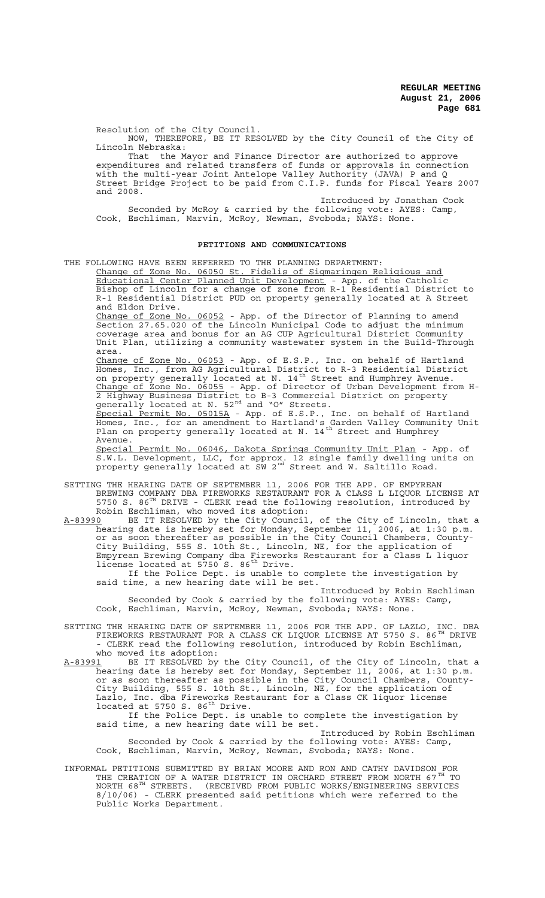Resolution of the City Council.

NOW, THEREFORE, BE IT RESOLVED by the City Council of the City of Lincoln Nebraska:

That the Mayor and Finance Director are authorized to approve expenditures and related transfers of funds or approvals in connection with the multi-year Joint Antelope Valley Authority (JAVA) P and Q Street Bridge Project to be paid from C.I.P. funds for Fiscal Years 2007 and 2008.

Introduced by Jonathan Cook

Seconded by McRoy & carried by the following vote: AYES: Camp, Cook, Eschliman, Marvin, McRoy, Newman, Svoboda; NAYS: None.

#### **PETITIONS AND COMMUNICATIONS**

THE FOLLOWING HAVE BEEN REFERRED TO THE PLANNING DEPARTMENT:

Change of Zone No. 06050 St. Fidelis of Sigmaringen Religious and Educational Center Planned Unit Development - App. of the Catholic Bishop of Lincoln for a change of zone from R-1 Residential District to R-1 Residential District PUD on property generally located at A Street and Eldon Drive.

Change of Zone No. 06052 - App. of the Director of Planning to amend Section 27.65.020 of the Lincoln Municipal Code to adjust the minimum coverage area and bonus for an AG CUP Agricultural District Community Unit Plan, utilizing a community wastewater system in the Build-Through area.

Change of Zone No. 06053 - App. of E.S.P., Inc. on behalf of Hartland Homes, Inc., from AG Agricultural District to R-3 Residential District on property generally located at N. 14<sup>th</sup> Street and Humphrey Avenue. Change of Zone No. 06055 - App. of Director of Urban Development from H-2 Highway Business District to B-3 Commercial District on property generally located at N.  $52^{nd}$  and "O" Streets.

Special Permit No. 05015A - App. of E.S.P., Inc. on behalf of Hartland Homes, Inc., for an amendment to Hartland's Garden Valley Community Unit Plan on property generally located at N. 14<sup>th</sup> Street and Humphrey Avenue.

Special Permit No. 06046, Dakota Springs Community Unit Plan - App. of S.W.L. Development, LLC, for approx. 12 single family dwelling units on property generally located at SW 2<sup>nd</sup> Street and W. Saltillo Road.

- SETTING THE HEARING DATE OF SEPTEMBER 11, 2006 FOR THE APP. OF EMPYREAN BREWING COMPANY DBA FIREWORKS RESTAURANT FOR A CLASS L LIQUOR LICENSE AT 5750 S. 86 $^{TH}$  DRIVE - CLERK read the following resolution, introduced by Robin Eschliman, who moved its adoption:
- A-83990 BE IT RESOLVED by the City Council, of the City of Lincoln, that a hearing date is hereby set for Monday, September 11, 2006, at 1:30 p.m. or as soon thereafter as possible in the City Council Chambers, County-City Building, 555 S. 10th St., Lincoln, NE, for the application of Empyrean Brewing Company dba Fireworks Restaurant for a Class L liquor license located at 5750 S. 86<sup>th</sup> Drive.

If the Police Dept. is unable to complete the investigation by said time, a new hearing date will be set.

Introduced by Robin Eschliman Seconded by Cook & carried by the following vote: AYES: Camp, Cook, Eschliman, Marvin, McRoy, Newman, Svoboda; NAYS: None.

- SETTING THE HEARING DATE OF SEPTEMBER 11, 2006 FOR THE APP. OF LAZLO, INC. DBA FIREWORKS RESTAURANT FOR A CLASS CK LIQUOR LICENSE AT 5750 S. 86<sup>TH</sup> DRIVE - CLERK read the following resolution, introduced by Robin Eschliman, who moved its adoption:
- A-83991 BE IT RESOLVED by the City Council, of the City of Lincoln, that a hearing date is hereby set for Monday, September 11, 2006, at 1:30 p.m. or as soon thereafter as possible in the City Council Chambers, County-City Building, 555 S. 10th St., Lincoln, NE, for the application of Lazlo, Inc. dba Fireworks Restaurant for a Class CK liquor license located at 5750 S.  $86^{th}$  Drive.

If the Police Dept. is unable to complete the investigation by said time, a new hearing date will be set.

Introduced by Robin Eschliman Seconded by Cook & carried by the following vote: AYES: Camp, Cook, Eschliman, Marvin, McRoy, Newman, Svoboda; NAYS: None.

INFORMAL PETITIONS SUBMITTED BY BRIAN MOORE AND RON AND CATHY DAVIDSON FOR THE CREATION OF A WATER DISTRICT IN ORCHARD STREET FROM NORTH 67<sup>TH</sup> TO NORTH 68TH STREETS. (RECEIVED FROM PUBLIC WORKS/ENGINEERING SERVICES 8/10/06) - CLERK presented said petitions which were referred to the Public Works Department.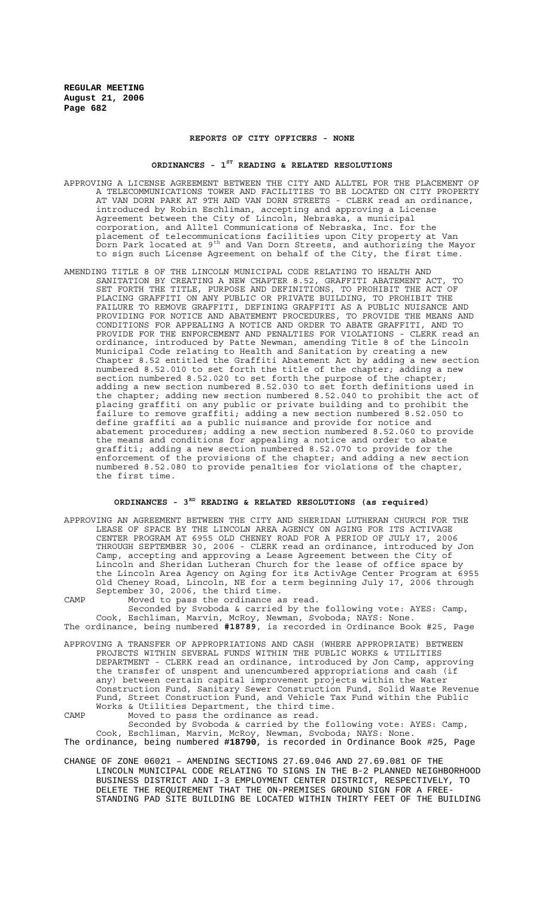### **REPORTS OF CITY OFFICERS - NONE**

#### **ORDINANCES - 1ST READING & RELATED RESOLUTIONS**

- APPROVING A LICENSE AGREEMENT BETWEEN THE CITY AND ALLTEL FOR THE PLACEMENT OF A TELECOMMUNICATIONS TOWER AND FACILITIES TO BE LOCATED ON CITY PROPERTY AT VAN DORN PARK AT 9TH AND VAN DORN STREETS - CLERK read an ordinance, introduced by Robin Eschliman, accepting and approving a License Agreement between the City of Lincoln, Nebraska, a municipal corporation, and Alltel Communications of Nebraska, Inc. for the placement of telecommunications facilities upon City property at Van .<br>Dorn Park located at 9<sup>th</sup> and Van Dorn Streets, and authorizing the Mayor to sign such License Agreement on behalf of the City, the first time.
- AMENDING TITLE 8 OF THE LINCOLN MUNICIPAL CODE RELATING TO HEALTH AND SANITATION BY CREATING A NEW CHAPTER 8.52, GRAFFITI ABATEMENT ACT, TO SET FORTH THE TITLE, PURPOSE AND DEFINITIONS, TO PROHIBIT THE ACT OF PLACING GRAFFITI ON ANY PUBLIC OR PRIVATE BUILDING, TO PROHIBIT THE FAILURE TO REMOVE GRAFFITI, DEFINING GRAFFITI AS A PUBLIC NUISANCE AND PROVIDING FOR NOTICE AND ABATEMENT PROCEDURES, TO PROVIDE THE MEANS AND CONDITIONS FOR APPEALING A NOTICE AND ORDER TO ABATE GRAFFITI, AND TO PROVIDE FOR THE ENFORCEMENT AND PENALTIES FOR VIOLATIONS - CLERK read an ordinance, introduced by Patte Newman, amending Title 8 of the Lincoln Municipal Code relating to Health and Sanitation by creating a new Chapter 8.52 entitled the Graffiti Abatement Act by adding a new section numbered 8.52.010 to set forth the title of the chapter; adding a new section numbered 8.52.020 to set forth the purpose of the chapter; adding a new section numbered 8.52.030 to set forth definitions used in the chapter; adding new section numbered 8.52.040 to prohibit the act of placing graffiti on any public or private building and to prohibit the failure to remove graffiti; adding a new section numbered 8.52.050 to define graffiti as a public nuisance and provide for notice and abatement procedures; adding a new section numbered 8.52.060 to provide the means and conditions for appealing a notice and order to abate graffiti; adding a new section numbered 8.52.070 to provide for the enforcement of the provisions of the chapter; and adding a new section numbered 8.52.080 to provide penalties for violations of the chapter, the first time.

# **ORDINANCES - 3RD READING & RELATED RESOLUTIONS (as required)**

APPROVING AN AGREEMENT BETWEEN THE CITY AND SHERIDAN LUTHERAN CHURCH FOR THE LEASE OF SPACE BY THE LINCOLN AREA AGENCY ON AGING FOR ITS ACTIVAGE CENTER PROGRAM AT 6955 OLD CHENEY ROAD FOR A PERIOD OF JULY 17, 2006 THROUGH SEPTEMBER 30, 2006 - CLERK read an ordinance, introduced by Jon Camp, accepting and approving a Lease Agreement between the City of Lincoln and Sheridan Lutheran Church for the lease of office space by the Lincoln Area Agency on Aging for its ActivAge Center Program at 6955 Old Cheney Road, Lincoln, NE for a term beginning July 17, 2006 through September 30, 2006, the third time.

CAMP Moved to pass the ordinance as read. Seconded by Svoboda & carried by the following vote: AYES: Camp, Cook, Eschliman, Marvin, McRoy, Newman, Svoboda; NAYS: None. The ordinance, being numbered **#18789**, is recorded in Ordinance Book #25, Page

APPROVING A TRANSFER OF APPROPRIATIONS AND CASH (WHERE APPROPRIATE) BETWEEN PROJECTS WITHIN SEVERAL FUNDS WITHIN THE PUBLIC WORKS & UTILITIES DEPARTMENT - CLERK read an ordinance, introduced by Jon Camp, approving the transfer of unspent and unencumbered appropriations and cash (if any) between certain capital improvement projects within the Water Construction Fund, Sanitary Sewer Construction Fund, Solid Waste Revenue Fund, Street Construction Fund, and Vehicle Tax Fund within the Public Works & Utilities Department, the third time.

CAMP Moved to pass the ordinance as read. Seconded by Svoboda & carried by the following vote: AYES: Camp, Cook, Eschliman, Marvin, McRoy, Newman, Svoboda; NAYS: None.

The ordinance, being numbered **#18790**, is recorded in Ordinance Book #25, Page

CHANGE OF ZONE 06021 – AMENDING SECTIONS 27.69.046 AND 27.69.081 OF THE LINCOLN MUNICIPAL CODE RELATING TO SIGNS IN THE B-2 PLANNED NEIGHBORHOOD BUSINESS DISTRICT AND I-3 EMPLOYMENT CENTER DISTRICT, RESPECTIVELY, TO DELETE THE REQUIREMENT THAT THE ON-PREMISES GROUND SIGN FOR A FREE-STANDING PAD SITE BUILDING BE LOCATED WITHIN THIRTY FEET OF THE BUILDING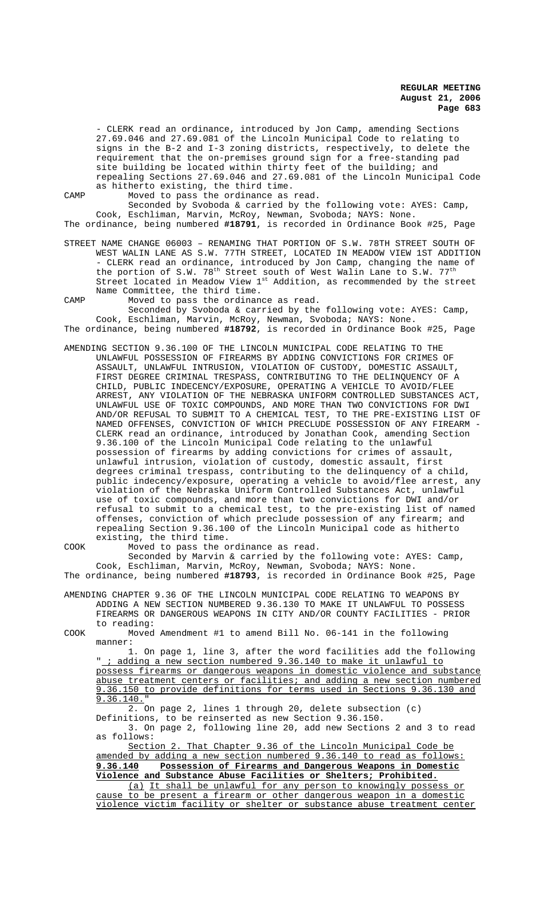- CLERK read an ordinance, introduced by Jon Camp, amending Sections 27.69.046 and 27.69.081 of the Lincoln Municipal Code to relating to signs in the B-2 and I-3 zoning districts, respectively, to delete the requirement that the on-premises ground sign for a free-standing pad site building be located within thirty feet of the building; and repealing Sections 27.69.046 and 27.69.081 of the Lincoln Municipal Code as hitherto existing, the third time.

CAMP Moved to pass the ordinance as read.

Seconded by Svoboda & carried by the following vote: AYES: Camp, Cook, Eschliman, Marvin, McRoy, Newman, Svoboda; NAYS: None. The ordinance, being numbered **#18791**, is recorded in Ordinance Book #25, Page

STREET NAME CHANGE 06003 – RENAMING THAT PORTION OF S.W. 78TH STREET SOUTH OF WEST WALIN LANE AS S.W. 77TH STREET, LOCATED IN MEADOW VIEW 1ST ADDITION - CLERK read an ordinance, introduced by Jon Camp, changing the name of the portion of S.W.  $78<sup>th</sup>$  Street south of West Walin Lane to S.W.  $77<sup>th</sup>$ Street located in Meadow View  $1^{st}$  Addition, as recommended by the street Name Committee, the third time.

CAMP Moved to pass the ordinance as read. Seconded by Svoboda & carried by the following vote: AYES: Camp,

Cook, Eschliman, Marvin, McRoy, Newman, Svoboda; NAYS: None. The ordinance, being numbered **#18792**, is recorded in Ordinance Book #25, Page

AMENDING SECTION 9.36.100 OF THE LINCOLN MUNICIPAL CODE RELATING TO THE UNLAWFUL POSSESSION OF FIREARMS BY ADDING CONVICTIONS FOR CRIMES OF ASSAULT, UNLAWFUL INTRUSION, VIOLATION OF CUSTODY, DOMESTIC ASSAULT, FIRST DEGREE CRIMINAL TRESPASS, CONTRIBUTING TO THE DELINQUENCY OF A CHILD, PUBLIC INDECENCY/EXPOSURE, OPERATING A VEHICLE TO AVOID/FLEE ARREST, ANY VIOLATION OF THE NEBRASKA UNIFORM CONTROLLED SUBSTANCES ACT, UNLAWFUL USE OF TOXIC COMPOUNDS, AND MORE THAN TWO CONVICTIONS FOR DWI AND/OR REFUSAL TO SUBMIT TO A CHEMICAL TEST, TO THE PRE-EXISTING LIST OF NAMED OFFENSES, CONVICTION OF WHICH PRECLUDE POSSESSION OF ANY FIREARM - CLERK read an ordinance, introduced by Jonathan Cook, amending Section 9.36.100 of the Lincoln Municipal Code relating to the unlawful possession of firearms by adding convictions for crimes of assault, unlawful intrusion, violation of custody, domestic assault, first degrees criminal trespass, contributing to the delinquency of a child, public indecency/exposure, operating a vehicle to avoid/flee arrest, any violation of the Nebraska Uniform Controlled Substances Act, unlawful use of toxic compounds, and more than two convictions for DWI and/or refusal to submit to a chemical test, to the pre-existing list of named offenses, conviction of which preclude possession of any firearm; and repealing Section 9.36.100 of the Lincoln Municipal code as hitherto existing, the third time.

COOK Moved to pass the ordinance as read. Seconded by Marvin & carried by the following vote: AYES: Camp, Cook, Eschliman, Marvin, McRoy, Newman, Svoboda; NAYS: None. The ordinance, being numbered **#18793**, is recorded in Ordinance Book #25, Page AMENDING CHAPTER 9.36 OF THE LINCOLN MUNICIPAL CODE RELATING TO WEAPONS BY ADDING A NEW SECTION NUMBERED 9.36.130 TO MAKE IT UNLAWFUL TO POSSESS FIREARMS OR DANGEROUS WEAPONS IN CITY AND/OR COUNTY FACILITIES - PRIOR to reading:

COOK Moved Amendment #1 to amend Bill No. 06-141 in the following manner:

1. On page 1, line 3, after the word facilities add the following adding a new section numbered 9.36.140 to make it unlawful to possess firearms or dangerous weapons in domestic violence and substance abuse treatment centers or facilities; and adding a new section numbered 9.36.150 to provide definitions for terms used in Sections 9.36.130 and 9.36.140."

2. On page 2, lines 1 through 20, delete subsection (c)

Definitions, to be reinserted as new Section 9.36.150. 3. On page 2, following line 20, add new Sections 2 and 3 to read

as follows: Section 2. That Chapter 9.36 of the Lincoln Municipal Code be amended by adding a new section numbered 9.36.140 to read as follows: **9.36.140 Possession of Firearms and Dangerous Weapons in Domestic**

**Violence and Substance Abuse Facilities or Shelters; Prohibited.** (a) It shall be unlawful for any person to knowingly possess or

cause to be present a firearm or other dangerous weapon in a domestic violence victim facility or shelter or substance abuse treatment center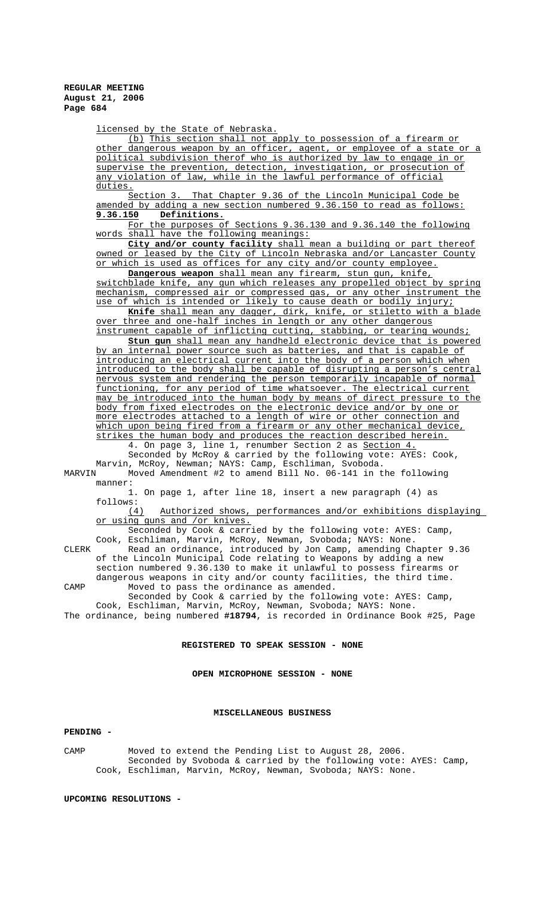licensed by the State of Nebraska.

(b) This section shall not apply to possession of a firearm or other dangerous weapon by an officer, agent, or employee of a state or a political subdivision therof who is authorized by law to engage in or supervise the prevention, detection, investigation, or prosecution of any violation of law, while in the lawful performance of official duties.

Section 3. That Chapter 9.36 of the Lincoln Municipal Code be amended by adding a new section numbered 9.36.150 to read as follows: **9.36.150 Definitions.**

For the purposes of Sections 9.36.130 and 9.36.140 the following words shall have the following meanings:

**City and/or county facility** shall mean a building or part thereof owned or leased by the City of Lincoln Nebraska and/or Lancaster County or which is used as offices for any city and/or county employee.

**Dangerous weapon** shall mean any firearm, stun gun, knife, switchblade knife, any gun which releases any propelled object by spring mechanism, compressed air or compressed gas, or any other instrument the use of which is intended or likely to cause death or bodily injury;

**Knife** shall mean any dagger, dirk, knife, or stiletto with a blade over three and one-half inches in length or any other dangerous instrument capable of inflicting cutting, stabbing, or tearing wounds;

**Stun gun** shall mean any handheld electronic device that is powered by an internal power source such as batteries, and that is capable of introducing an electrical current into the body of a person which when introduced to the body shall be capable of disrupting a person's central nervous system and rendering the person temporarily incapable of normal functioning, for any period of time whatsoever. The electrical current may be introduced into the human body by means of direct pressure to the body from fixed electrodes on the electronic device and/or by one or more electrodes attached to a length of wire or other connection and which upon being fired from a firearm or any other mechanical device, strikes the human body and produces the reaction described herein.

4. On page 3, line 1, renumber Section 2 as Section 4. Seconded by McRoy & carried by the following vote: AYES: Cook, Marvin, McRoy, Newman; NAYS: Camp, Eschliman, Svoboda.<br>MARVIN Moved Amendment #2 to amend Bill No. 06-141 in t

Moved Amendment #2 to amend Bill No. 06-141 in the following manner:

1. On page 1, after line 18, insert a new paragraph (4) as follows:<br> $(4)$ 

Authorized shows, performances and/or exhibitions displaying or using guns and /or knives.

Seconded by Cook & carried by the following vote: AYES: Camp, Cook, Eschliman, Marvin, McRoy, Newman, Svoboda; NAYS: None.

CLERK Read an ordinance, introduced by Jon Camp, amending Chapter 9.36 of the Lincoln Municipal Code relating to Weapons by adding a new section numbered 9.36.130 to make it unlawful to possess firearms or dangerous weapons in city and/or county facilities, the third time. CAMP Moved to pass the ordinance as amended.

Seconded by Cook & carried by the following vote: AYES: Camp, Cook, Eschliman, Marvin, McRoy, Newman, Svoboda; NAYS: None. The ordinance, being numbered **#18794**, is recorded in Ordinance Book #25, Page

### **REGISTERED TO SPEAK SESSION - NONE**

**OPEN MICROPHONE SESSION - NONE**

#### **MISCELLANEOUS BUSINESS**

#### **PENDING -**

CAMP Moved to extend the Pending List to August 28, 2006. Seconded by Svoboda & carried by the following vote: AYES: Camp, Cook, Eschliman, Marvin, McRoy, Newman, Svoboda; NAYS: None.

**UPCOMING RESOLUTIONS -**